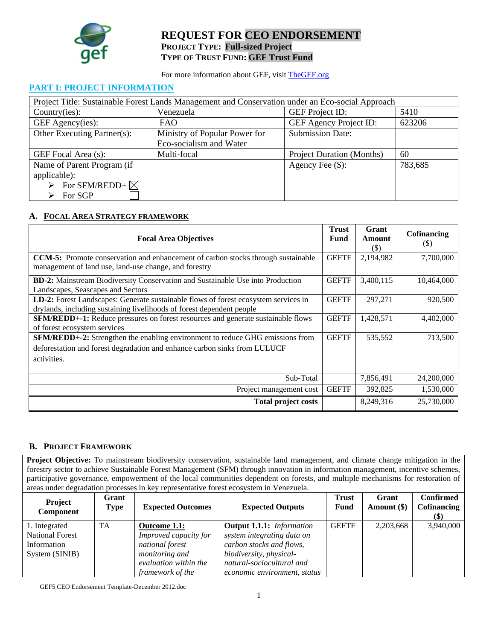

# **REQUEST FOR CEO ENDORSEMENT PROJECT TYPE: Full-sized Project TYPE OF TRUST FUND: GEF Trust Fund**

For more information about GEF, visit TheGEF.org

### **PART I: PROJECT INFORMATION**

| Project Title: Sustainable Forest Lands Management and Conservation under an Eco-social Approach |                               |                                  |         |  |  |
|--------------------------------------------------------------------------------------------------|-------------------------------|----------------------------------|---------|--|--|
| Country(ies):                                                                                    | Venezuela                     | <b>GEF</b> Project ID:           | 5410    |  |  |
| GEF Agency(ies):                                                                                 | FAO.                          | GEF Agency Project ID:           | 623206  |  |  |
| Other Executing Partner(s):                                                                      | Ministry of Popular Power for | <b>Submission Date:</b>          |         |  |  |
|                                                                                                  | Eco-socialism and Water       |                                  |         |  |  |
| GEF Focal Area (s):                                                                              | Multi-focal                   | <b>Project Duration (Months)</b> | 60      |  |  |
| Name of Parent Program (if                                                                       |                               | Agency Fee (\$):                 | 783,685 |  |  |
| applicable):                                                                                     |                               |                                  |         |  |  |
| $\triangleright$ For SFM/REDD+ $\boxtimes$                                                       |                               |                                  |         |  |  |
| $\triangleright$ For SGP                                                                         |                               |                                  |         |  |  |

# **A. FOCAL AREA STRATEGY FRAMEWORK**

| <b>Focal Area Objectives</b>                                                                                                                                              | <b>Trust</b><br>Fund | Grant<br>Amount<br>(\$) | <b>Cofinancing</b><br>(5) |
|---------------------------------------------------------------------------------------------------------------------------------------------------------------------------|----------------------|-------------------------|---------------------------|
| <b>CCM-5:</b> Promote conservation and enhancement of carbon stocks through sustainable<br>management of land use, land-use change, and forestry                          | <b>GEFTF</b>         | 2,194,982               | 7,700,000                 |
| <b>BD-2:</b> Mainstream Biodiversity Conservation and Sustainable Use into Production<br>Landscapes, Seascapes and Sectors                                                | <b>GEFTF</b>         | 3,400,115               | 10,464,000                |
| LD-2: Forest Landscapes: Generate sustainable flows of forest ecosystem services in<br>drylands, including sustaining livelihoods of forest dependent people              | <b>GEFTF</b>         | 297.271                 | 920,500                   |
| SFM/REDD+-1: Reduce pressures on forest resources and generate sustainable flows<br>of forest ecosystem services                                                          | <b>GEFTF</b>         | 1,428,571               | 4,402,000                 |
| SFM/REDD+-2: Strengthen the enabling environment to reduce GHG emissions from<br>deforestation and forest degradation and enhance carbon sinks from LULUCF<br>activities. | <b>GEFTF</b>         | 535,552                 | 713,500                   |
| Sub-Total                                                                                                                                                                 |                      | 7,856,491               | 24,200,000                |
| Project management cost                                                                                                                                                   | <b>GEFTF</b>         | 392,825                 | 1,530,000                 |
| <b>Total project costs</b>                                                                                                                                                |                      | 8,249,316               | 25,730,000                |

# **B. PROJECT FRAMEWORK**

**Project Objective:** To mainstream biodiversity conservation, sustainable land management, and climate change mitigation in the forestry sector to achieve Sustainable Forest Management (SFM) through innovation in information management, incentive schemes, participative governance, empowerment of the local communities dependent on forests, and multiple mechanisms for restoration of areas under degradation processes in key representative forest ecosystem in Venezuela.

| <b>Project</b><br>Component | Grant<br><b>Type</b> | <b>Expected Outcomes</b> | <b>Expected Outputs</b>          | <b>Trust</b><br>Fund | Grant<br>Amount (\$) | <b>Confirmed</b><br>Cofinancing<br>(\$) |
|-----------------------------|----------------------|--------------------------|----------------------------------|----------------------|----------------------|-----------------------------------------|
| 1. Integrated               | TA                   | Outcome 1.1:             | <b>Output 1.1.1:</b> Information | <b>GEFTF</b>         | 2,203,668            | 3,940,000                               |
| <b>National Forest</b>      |                      | Improved capacity for    | system integrating data on       |                      |                      |                                         |
| Information                 |                      | national forest          | carbon stocks and flows,         |                      |                      |                                         |
| System (SINIB)              |                      | <i>monitoring and</i>    | biodiversity, physical-          |                      |                      |                                         |
|                             |                      | evaluation within the    | natural-sociocultural and        |                      |                      |                                         |
|                             |                      | framework of the         | economic environment, status     |                      |                      |                                         |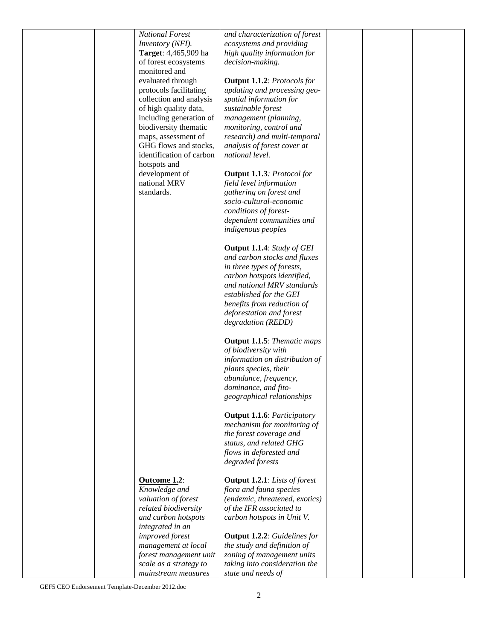| <b>National Forest</b>   | and characterization of forest       |  |
|--------------------------|--------------------------------------|--|
| Inventory (NFI).         | ecosystems and providing             |  |
|                          |                                      |  |
| Target: 4,465,909 ha     | high quality information for         |  |
| of forest ecosystems     | decision-making.                     |  |
| monitored and            |                                      |  |
| evaluated through        | <b>Output 1.1.2:</b> Protocols for   |  |
| protocols facilitating   | updating and processing geo-         |  |
| collection and analysis  | spatial information for              |  |
| of high quality data,    | sustainable forest                   |  |
| including generation of  | management (planning,                |  |
| biodiversity thematic    | monitoring, control and              |  |
| maps, assessment of      | research) and multi-temporal         |  |
| GHG flows and stocks,    | analysis of forest cover at          |  |
| identification of carbon | national level.                      |  |
|                          |                                      |  |
| hotspots and             |                                      |  |
| development of           | <b>Output 1.1.3</b> : Protocol for   |  |
| national MRV             | field level information              |  |
| standards.               | gathering on forest and              |  |
|                          | socio-cultural-economic              |  |
|                          | conditions of forest-                |  |
|                          | dependent communities and            |  |
|                          | indigenous peoples                   |  |
|                          |                                      |  |
|                          | <b>Output 1.1.4:</b> Study of GEI    |  |
|                          | and carbon stocks and fluxes         |  |
|                          | in three types of forests,           |  |
|                          |                                      |  |
|                          | carbon hotspots identified,          |  |
|                          | and national MRV standards           |  |
|                          | established for the GEI              |  |
|                          | benefits from reduction of           |  |
|                          | deforestation and forest             |  |
|                          | degradation (REDD)                   |  |
|                          |                                      |  |
|                          | <b>Output 1.1.5:</b> Thematic maps   |  |
|                          | of biodiversity with                 |  |
|                          | information on distribution of       |  |
|                          | plants species, their                |  |
|                          | abundance, frequency,                |  |
|                          | dominance, and fito-                 |  |
|                          |                                      |  |
|                          | geographical relationships           |  |
|                          |                                      |  |
|                          | <b>Output 1.1.6: Participatory</b>   |  |
|                          | mechanism for monitoring of          |  |
|                          | the forest coverage and              |  |
|                          | status, and related GHG              |  |
|                          | flows in deforested and              |  |
|                          | degraded forests                     |  |
|                          |                                      |  |
| Outcome 1.2:             | <b>Output 1.2.1:</b> Lists of forest |  |
| Knowledge and            | flora and fauna species              |  |
| valuation of forest      | (endemic, threatened, exotics)       |  |
| related biodiversity     | of the IFR associated to             |  |
| and carbon hotspots      | carbon hotspots in Unit V.           |  |
| integrated in an         |                                      |  |
| improved forest          | <b>Output 1.2.2:</b> Guidelines for  |  |
| management at local      | the study and definition of          |  |
|                          |                                      |  |
| forest management unit   | zoning of management units           |  |
| scale as a strategy to   | taking into consideration the        |  |
| mainstream measures      | state and needs of                   |  |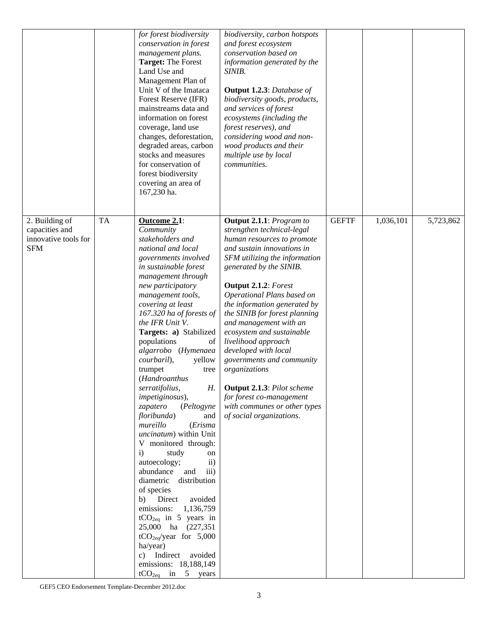|                                                                        |           | for forest biodiversity<br>conservation in forest<br>management plans.<br><b>Target: The Forest</b><br>Land Use and<br>Management Plan of<br>Unit V of the Imataca<br>Forest Reserve (IFR)<br>mainstreams data and<br>information on forest<br>coverage, land use<br>changes, deforestation,<br>degraded areas, carbon<br>stocks and measures<br>for conservation of<br>forest biodiversity<br>covering an area of<br>167,230 ha.                                                                                                                                                                                                                                                                                                                                                                                                                                                                                           | biodiversity, carbon hotspots<br>and forest ecosystem<br>conservation based on<br>information generated by the<br>SINIB.<br><b>Output 1.2.3: Database of</b><br>biodiversity goods, products,<br>and services of forest<br>ecosystems (including the<br>forest reserves), and<br>considering wood and non-<br>wood products and their<br>multiple use by local<br><i>communities.</i>                                                                                                                                                                                                                |              |           |           |
|------------------------------------------------------------------------|-----------|-----------------------------------------------------------------------------------------------------------------------------------------------------------------------------------------------------------------------------------------------------------------------------------------------------------------------------------------------------------------------------------------------------------------------------------------------------------------------------------------------------------------------------------------------------------------------------------------------------------------------------------------------------------------------------------------------------------------------------------------------------------------------------------------------------------------------------------------------------------------------------------------------------------------------------|------------------------------------------------------------------------------------------------------------------------------------------------------------------------------------------------------------------------------------------------------------------------------------------------------------------------------------------------------------------------------------------------------------------------------------------------------------------------------------------------------------------------------------------------------------------------------------------------------|--------------|-----------|-----------|
| 2. Building of<br>capacities and<br>innovative tools for<br><b>SFM</b> | <b>TA</b> | Outcome 2.1:<br>Community<br>stakeholders and<br>national and local<br>governments involved<br>in sustainable forest<br>management through<br>new participatory<br>management tools,<br>covering at least<br>167.320 ha of forests of<br>the IFR Unit V.<br>Targets: a) Stabilized<br>populations<br>of<br>algarrobo (Hymenaea<br>courbaril),<br>yellow<br>trumpet<br>tree<br>(Handroanthus<br>serratifolius,<br>Н.<br>impetiginosus),<br>zapatero<br>(Peltogyne<br>floribunda)<br>and<br>mureillo<br>(Erisma<br>uncinatum) within Unit<br>V monitored through:<br>$\mathbf{i}$<br>study<br>on<br>autoecology;<br>$\mathbf{ii}$<br>abundance<br>and<br>iii)<br>distribution<br>diametric<br>of species<br>Direct<br>avoided<br>b)<br>emissions:<br>1,136,759<br>$tCO2eq$ in 5 years in<br>25,000 ha (227,351)<br>$tCO2eq/year$ for 5,000<br>ha/year)<br>c) Indirect avoided<br>emissions: 18,188,149<br>$tCO2eq$ in 5 years | <b>Output 2.1.1:</b> Program to<br>strengthen technical-legal<br>human resources to promote<br>and sustain innovations in<br>SFM utilizing the information<br>generated by the SINIB.<br><b>Output 2.1.2:</b> Forest<br>Operational Plans based on<br>the information generated by<br>the SINIB for forest planning<br>and management with an<br>ecosystem and sustainable<br>livelihood approach<br>developed with local<br>governments and community<br>organizations<br><b>Output 2.1.3: Pilot scheme</b><br>for forest co-management<br>with communes or other types<br>of social organizations. | <b>GEFTF</b> | 1,036,101 | 5,723,862 |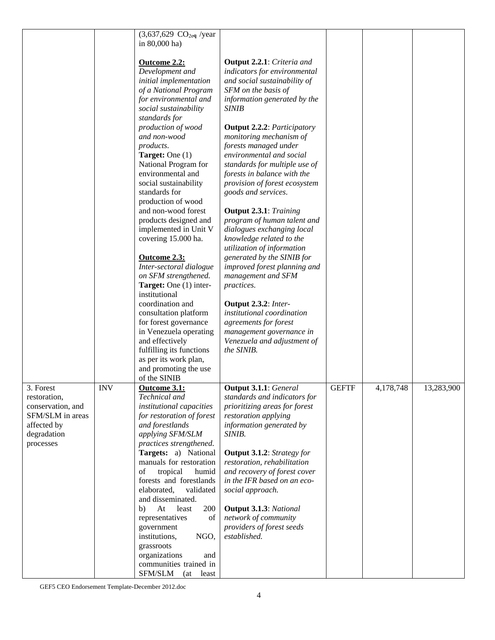|                                                |            | $(3,637,629 \text{ CO}_{2eq}$ /year                                                      |                                                                                                    |              |           |            |
|------------------------------------------------|------------|------------------------------------------------------------------------------------------|----------------------------------------------------------------------------------------------------|--------------|-----------|------------|
|                                                |            | in 80,000 ha)                                                                            |                                                                                                    |              |           |            |
|                                                |            | Outcome 2.2:<br>Development and<br>initial implementation                                | <b>Output 2.2.1:</b> Criteria and<br>indicators for environmental<br>and social sustainability of  |              |           |            |
|                                                |            | of a National Program<br>for environmental and<br>social sustainability<br>standards for | SFM on the basis of<br>information generated by the<br><b>SINIB</b>                                |              |           |            |
|                                                |            | production of wood<br>and non-wood<br>products.                                          | <b>Output 2.2.2: Participatory</b><br>monitoring mechanism of<br>forests managed under             |              |           |            |
|                                                |            | <b>Target:</b> One $(1)$<br>National Program for                                         | environmental and social<br>standards for multiple use of                                          |              |           |            |
|                                                |            | environmental and<br>social sustainability<br>standards for                              | forests in balance with the<br>provision of forest ecosystem<br>goods and services.                |              |           |            |
|                                                |            | production of wood<br>and non-wood forest<br>products designed and                       | <b>Output 2.3.1:</b> Training<br>program of human talent and                                       |              |           |            |
|                                                |            | implemented in Unit V<br>covering 15.000 ha.                                             | dialogues exchanging local<br>knowledge related to the<br>utilization of information               |              |           |            |
|                                                |            | Outcome 2.3:<br>Inter-sectoral dialogue<br>on SFM strengthened.                          | generated by the SINIB for<br>improved forest planning and<br>management and SFM                   |              |           |            |
|                                                |            | Target: One (1) inter-<br>institutional<br>coordination and                              | practices.                                                                                         |              |           |            |
|                                                |            | consultation platform<br>for forest governance                                           | Output 2.3.2: Inter-<br>institutional coordination<br>agreements for forest                        |              |           |            |
|                                                |            | in Venezuela operating<br>and effectively<br>fulfilling its functions                    | management governance in<br>Venezuela and adjustment of<br>the SINIB.                              |              |           |            |
|                                                |            | as per its work plan,<br>and promoting the use<br>of the SINIB                           |                                                                                                    |              |           |            |
| 3. Forest<br>restoration,<br>conservation, and | <b>INV</b> | Outcome 3.1:<br>Technical and<br>institutional capacities                                | <b>Output 3.1.1:</b> General<br>standards and indicators for<br>prioritizing areas for forest      | <b>GEFTF</b> | 4,178,748 | 13,283,900 |
| SFM/SLM in areas<br>affected by                |            | for restoration of forest<br>and forestlands                                             | restoration applying<br>information generated by                                                   |              |           |            |
| degradation<br>processes                       |            | applying SFM/SLM<br>practices strengthened.<br>Targets: a) National                      | SINIB.<br><b>Output 3.1.2:</b> Strategy for                                                        |              |           |            |
|                                                |            | manuals for restoration<br>of<br>tropical<br>humid<br>forests and forestlands            | restoration, rehabilitation<br>and recovery of forest cover<br>in the IFR based on an eco-         |              |           |            |
|                                                |            | elaborated,<br>validated<br>and disseminated.                                            | social approach.                                                                                   |              |           |            |
|                                                |            | 200<br>At<br>least<br>b)<br>representatives<br>of<br>government<br>institutions,<br>NGO, | <b>Output 3.1.3: National</b><br>network of community<br>providers of forest seeds<br>established. |              |           |            |
|                                                |            | grassroots<br>organizations<br>and<br>communities trained in                             |                                                                                                    |              |           |            |
|                                                |            | SFM/SLM (at least                                                                        |                                                                                                    |              |           |            |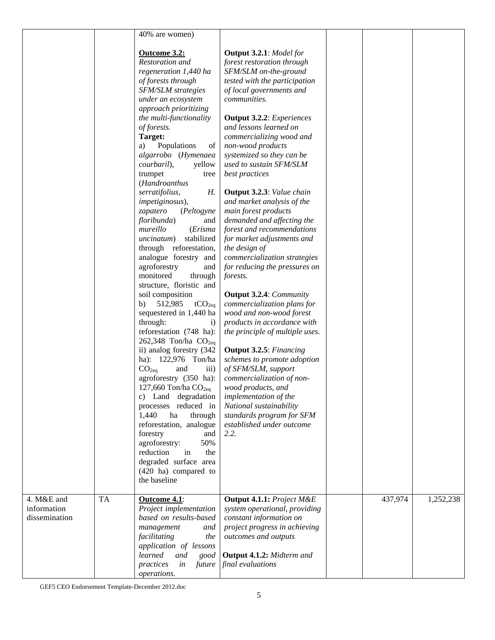|                           |           | 40% are women)                                     |                                                                       |         |           |
|---------------------------|-----------|----------------------------------------------------|-----------------------------------------------------------------------|---------|-----------|
|                           |           |                                                    |                                                                       |         |           |
|                           |           | Outcome 3.2:<br>Restoration and                    | <b>Output 3.2.1:</b> Model for<br>forest restoration through          |         |           |
|                           |           | regeneration 1,440 ha                              | SFM/SLM on-the-ground                                                 |         |           |
|                           |           | of forests through                                 | tested with the participation                                         |         |           |
|                           |           | <b>SFM/SLM</b> strategies                          | of local governments and                                              |         |           |
|                           |           | under an ecosystem                                 | communities.                                                          |         |           |
|                           |           | approach prioritizing                              |                                                                       |         |           |
|                           |           | the multi-functionality                            | <b>Output 3.2.2:</b> Experiences                                      |         |           |
|                           |           | of forests.                                        | and lessons learned on                                                |         |           |
|                           |           | Target:                                            | commercializing wood and                                              |         |           |
|                           |           | Populations<br>of<br>a)<br>algarrobo (Hymenaea     | non-wood products<br>systemized so they can be                        |         |           |
|                           |           | courbaril),<br>yellow                              | used to sustain SFM/SLM                                               |         |           |
|                           |           | trumpet<br>tree                                    | best practices                                                        |         |           |
|                           |           | (Handroanthus                                      |                                                                       |         |           |
|                           |           | Н.<br>serratifolius,                               | Output 3.2.3: Value chain                                             |         |           |
|                           |           | impetiginosus),                                    | and market analysis of the                                            |         |           |
|                           |           | zapatero<br>(Peltogyne                             | main forest products                                                  |         |           |
|                           |           | floribunda)<br>and                                 | demanded and affecting the                                            |         |           |
|                           |           | mureillo<br>(Erisma                                | forest and recommendations                                            |         |           |
|                           |           | stabilized<br>uncinatum)<br>through reforestation, | for market adjustments and<br>the design of                           |         |           |
|                           |           | analogue forestry and                              | commercialization strategies                                          |         |           |
|                           |           | agroforestry<br>and                                | for reducing the pressures on                                         |         |           |
|                           |           | monitored<br>through                               | forests.                                                              |         |           |
|                           |           | structure, floristic and                           |                                                                       |         |           |
|                           |           | soil composition                                   | <b>Output 3.2.4: Community</b>                                        |         |           |
|                           |           | 512,985<br>b)<br>tCO <sub>2eq</sub>                | commercialization plans for                                           |         |           |
|                           |           | sequestered in 1,440 ha                            | wood and non-wood forest                                              |         |           |
|                           |           | through:<br>$\ddot{1}$                             | products in accordance with                                           |         |           |
|                           |           | reforestation (748 ha):<br>262,348 Ton/ha $CO2eq$  | the principle of multiple uses.                                       |         |           |
|                           |           | ii) analog forestry (342                           | <b>Output 3.2.5:</b> Financing                                        |         |           |
|                           |           | ha): 122,976 Ton/ha                                | schemes to promote adoption                                           |         |           |
|                           |           | iii)<br>CO <sub>2eq</sub><br>and                   | of SFM/SLM, support                                                   |         |           |
|                           |           | agroforestry (350 ha):                             | commercialization of non-                                             |         |           |
|                           |           | 127,660 Ton/ha $CO2eq$                             | wood products, and                                                    |         |           |
|                           |           | c) Land degradation                                | implementation of the                                                 |         |           |
|                           |           | processes reduced in                               | National sustainability                                               |         |           |
|                           |           | 1,440<br>ha<br>through                             | standards program for SFM<br>established under outcome                |         |           |
|                           |           | reforestation, analogue<br>forestry<br>and         | 2.2.                                                                  |         |           |
|                           |           | agroforestry:<br>50%                               |                                                                       |         |           |
|                           |           | reduction<br>in<br>the                             |                                                                       |         |           |
|                           |           | degraded surface area                              |                                                                       |         |           |
|                           |           | $(420)$ ha) compared to                            |                                                                       |         |           |
|                           |           | the baseline                                       |                                                                       |         |           |
|                           |           |                                                    |                                                                       |         |           |
| 4. M&E and<br>information | <b>TA</b> | Outcome 4.1:<br>Project implementation             | <b>Output 4.1.1: Project M&amp;E</b><br>system operational, providing | 437,974 | 1,252,238 |
| dissemination             |           | based on results-based                             | constant information on                                               |         |           |
|                           |           | management<br>and                                  | project progress in achieving                                         |         |           |
|                           |           | facilitating<br>the                                | outcomes and outputs                                                  |         |           |
|                           |           | application of lessons                             |                                                                       |         |           |
|                           |           | learned<br>and<br>good                             | Output 4.1.2: Midterm and                                             |         |           |
|                           |           | practices<br>in<br>future                          | final evaluations                                                     |         |           |
|                           |           | operations.                                        |                                                                       |         |           |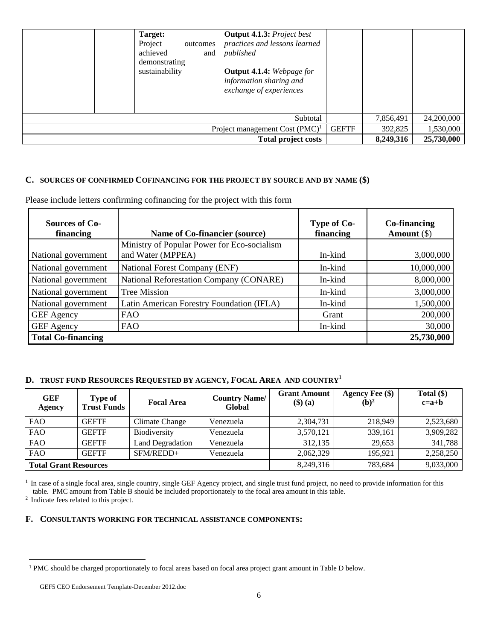|                                                                           | Target:<br>Project<br>outcomes<br>achieved<br>and<br>demonstrating<br>sustainability | <b>Output 4.1.3:</b> Project best<br>practices and lessons learned<br>published<br><b>Output 4.1.4:</b> Webpage for<br>information sharing and<br>exchange of experiences<br>Subtotal |  | 7,856,491 | 24,200,000 |
|---------------------------------------------------------------------------|--------------------------------------------------------------------------------------|---------------------------------------------------------------------------------------------------------------------------------------------------------------------------------------|--|-----------|------------|
| 1,530,000<br><b>GEFTF</b><br>392,825<br>Project management Cost $(PMC)^1$ |                                                                                      |                                                                                                                                                                                       |  |           |            |
| 25,730,000<br>8,249,316<br><b>Total project costs</b>                     |                                                                                      |                                                                                                                                                                                       |  |           |            |

# **C. SOURCES OF CONFIRMED COFINANCING FOR THE PROJECT BY SOURCE AND BY NAME (\$)**

Please include letters confirming cofinancing for the project with this form

| Sources of Co-<br>financing | Name of Co-financier (source)                  | Type of Co-<br>financing | Co-financing<br>Amount $(\$)$ |
|-----------------------------|------------------------------------------------|--------------------------|-------------------------------|
|                             | Ministry of Popular Power for Eco-socialism    |                          |                               |
| National government         | and Water (MPPEA)                              | In-kind                  | 3,000,000                     |
| National government         | <b>National Forest Company (ENF)</b>           | In-kind                  | 10,000,000                    |
| National government         | <b>National Reforestation Company (CONARE)</b> | In-kind                  | 8,000,000                     |
| National government         | <b>Tree Mission</b>                            | In-kind                  | 3,000,000                     |
| National government         | Latin American Forestry Foundation (IFLA)      | In-kind                  | 1,500,000                     |
| <b>GEF</b> Agency           | <b>FAO</b>                                     | Grant                    | 200,000                       |
| <b>GEF</b> Agency           | <b>FAO</b>                                     | In-kind                  | 30,000                        |
| <b>Total Co-financing</b>   |                                                |                          | 25,730,000                    |

# **D. TRUST FUND RESOURCES REQUESTED BY AGENCY, FOCAL AREA AND COUNTRY**<sup>1</sup>

| <b>GEF</b><br>Agency         | <b>Type of</b><br><b>Trust Funds</b> | <b>Focal Area</b>       | <b>Country Name/</b><br>Global | <b>Grant Amount</b><br>$($ \$ $)$ $($ a $)$ | <b>Agency Fee (\$)</b><br>$(b)^2$ | Total $(\$)$<br>$c=a+b$ |
|------------------------------|--------------------------------------|-------------------------|--------------------------------|---------------------------------------------|-----------------------------------|-------------------------|
| <b>FAO</b>                   | <b>GEFTF</b>                         | Climate Change          | Venezuela                      | 2,304,731                                   | 218,949                           | 2,523,680               |
| <b>FAO</b>                   | <b>GEFTF</b>                         | Biodiversity            | Venezuela                      | 3,570,121                                   | 339,161                           | 3,909,282               |
| <b>FAO</b>                   | <b>GEFTF</b>                         | <b>Land Degradation</b> | Venezuela                      | 312.135                                     | 29.653                            | 341,788                 |
| <b>FAO</b>                   | <b>GEFTF</b>                         | SFM/REDD+               | Venezuela                      | 2,062,329                                   | 195.921                           | 2,258,250               |
| <b>Total Grant Resources</b> |                                      |                         | 8,249,316                      | 783.684                                     | 9,033,000                         |                         |

<sup>1</sup> In case of a single focal area, single country, single GEF Agency project, and single trust fund project, no need to provide information for this table. PMC amount from Table B should be included proportionately to the focal area amount in this table. 2 Indicate fees related to this project.

### **F. CONSULTANTS WORKING FOR TECHNICAL ASSISTANCE COMPONENTS:**

<sup>&</sup>lt;sup>1</sup> PMC should be charged proportionately to focal areas based on focal area project grant amount in Table D below.

GEF5 CEO Endorsement Template-December 2012.doc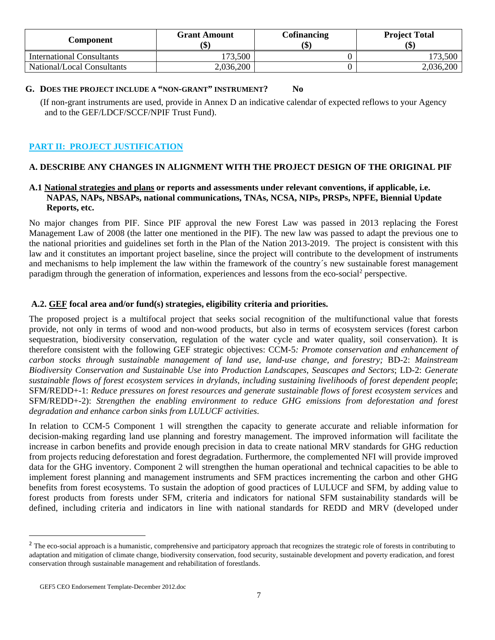| Component                  | <b>Grant Amount</b><br>٨D | <b>Cofinancing</b><br>$\left( \text{\$}\right)$ | <b>Project Total</b><br>(\$) |  |
|----------------------------|---------------------------|-------------------------------------------------|------------------------------|--|
| International Consultants  | 173,500                   |                                                 | 173,500                      |  |
| National/Local Consultants | 2,036,200                 |                                                 | 2,036,200                    |  |

#### **G. DOES THE PROJECT INCLUDE A "NON-GRANT" INSTRUMENT? No**

 (If non-grant instruments are used, provide in Annex D an indicative calendar of expected reflows to your Agency and to the GEF/LDCF/SCCF/NPIF Trust Fund).

# **PART II: PROJECT JUSTIFICATION**

# **A. DESCRIBE ANY CHANGES IN ALIGNMENT WITH THE PROJECT DESIGN OF THE ORIGINAL PIF**

#### **A.1 National strategies and plans or reports and assessments under relevant conventions, if applicable, i.e. NAPAS, NAPs, NBSAPs, national communications, TNAs, NCSA, NIPs, PRSPs, NPFE, Biennial Update Reports, etc.**

No major changes from PIF. Since PIF approval the new Forest Law was passed in 2013 replacing the Forest Management Law of 2008 (the latter one mentioned in the PIF). The new law was passed to adapt the previous one to the national priorities and guidelines set forth in the Plan of the Nation 2013-2019. The project is consistent with this law and it constitutes an important project baseline, since the project will contribute to the development of instruments and mechanisms to help implement the law within the framework of the country´s new sustainable forest management paradigm through the generation of information, experiences and lessons from the eco-social<sup>2</sup> perspective.

#### **A.2. GEF focal area and/or fund(s) strategies, eligibility criteria and priorities.**

The proposed project is a multifocal project that seeks social recognition of the multifunctional value that forests provide, not only in terms of wood and non-wood products, but also in terms of ecosystem services (forest carbon sequestration, biodiversity conservation, regulation of the water cycle and water quality, soil conservation). It is therefore consistent with the following GEF strategic objectives: CCM-5*: Promote conservation and enhancement of carbon stocks through sustainable management of land use, land-use change, and forestry;* BD-2: *Mainstream Biodiversity Conservation and Sustainable Use into Production Landscapes, Seascapes and Sectors*; LD-2: *Generate sustainable flows of forest ecosystem services in drylands, including sustaining livelihoods of forest dependent people*; SFM/REDD+-1: *Reduce pressures on forest resources and generate sustainable flows of forest ecosystem services* and SFM/REDD+-2): *Strengthen the enabling environment to reduce GHG emissions from deforestation and forest degradation and enhance carbon sinks from LULUCF activities*.

In relation to CCM-5 Component 1 will strengthen the capacity to generate accurate and reliable information for decision-making regarding land use planning and forestry management. The improved information will facilitate the increase in carbon benefits and provide enough precision in data to create national MRV standards for GHG reduction from projects reducing deforestation and forest degradation. Furthermore, the complemented NFI will provide improved data for the GHG inventory. Component 2 will strengthen the human operational and technical capacities to be able to implement forest planning and management instruments and SFM practices incrementing the carbon and other GHG benefits from forest ecosystems. To sustain the adoption of good practices of LULUCF and SFM, by adding value to forest products from forests under SFM, criteria and indicators for national SFM sustainability standards will be defined, including criteria and indicators in line with national standards for REDD and MRV (developed under

<sup>&</sup>lt;sup>2</sup> The eco-social approach is a humanistic, comprehensive and participatory approach that recognizes the strategic role of forests in contributing to adaptation and mitigation of climate change, biodiversity conservation, food security, sustainable development and poverty eradication, and forest conservation through sustainable management and rehabilitation of forestlands.

GEF5 CEO Endorsement Template-December 2012.doc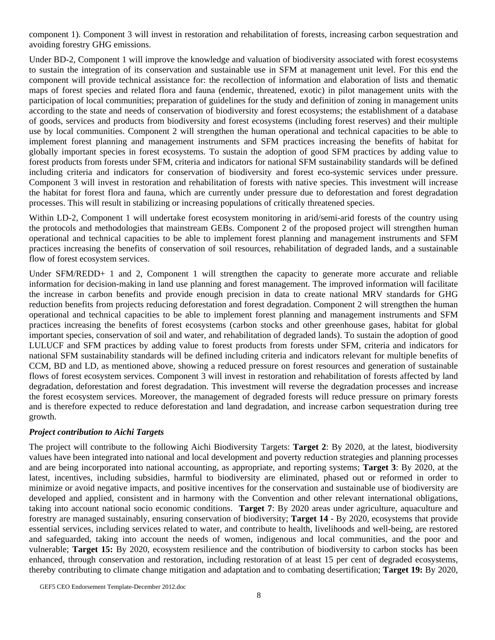component 1). Component 3 will invest in restoration and rehabilitation of forests, increasing carbon sequestration and avoiding forestry GHG emissions.

Under BD-2, Component 1 will improve the knowledge and valuation of biodiversity associated with forest ecosystems to sustain the integration of its conservation and sustainable use in SFM at management unit level. For this end the component will provide technical assistance for: the recollection of information and elaboration of lists and thematic maps of forest species and related flora and fauna (endemic, threatened, exotic) in pilot management units with the participation of local communities; preparation of guidelines for the study and definition of zoning in management units according to the state and needs of conservation of biodiversity and forest ecosystems; the establishment of a database of goods, services and products from biodiversity and forest ecosystems (including forest reserves) and their multiple use by local communities. Component 2 will strengthen the human operational and technical capacities to be able to implement forest planning and management instruments and SFM practices increasing the benefits of habitat for globally important species in forest ecosystems. To sustain the adoption of good SFM practices by adding value to forest products from forests under SFM, criteria and indicators for national SFM sustainability standards will be defined including criteria and indicators for conservation of biodiversity and forest eco-systemic services under pressure. Component 3 will invest in restoration and rehabilitation of forests with native species. This investment will increase the habitat for forest flora and fauna, which are currently under pressure due to deforestation and forest degradation processes. This will result in stabilizing or increasing populations of critically threatened species.

Within LD-2, Component 1 will undertake forest ecosystem monitoring in arid/semi-arid forests of the country using the protocols and methodologies that mainstream GEBs. Component 2 of the proposed project will strengthen human operational and technical capacities to be able to implement forest planning and management instruments and SFM practices increasing the benefits of conservation of soil resources, rehabilitation of degraded lands, and a sustainable flow of forest ecosystem services.

Under SFM/REDD+ 1 and 2, Component 1 will strengthen the capacity to generate more accurate and reliable information for decision-making in land use planning and forest management. The improved information will facilitate the increase in carbon benefits and provide enough precision in data to create national MRV standards for GHG reduction benefits from projects reducing deforestation and forest degradation. Component 2 will strengthen the human operational and technical capacities to be able to implement forest planning and management instruments and SFM practices increasing the benefits of forest ecosystems (carbon stocks and other greenhouse gases, habitat for global important species, conservation of soil and water, and rehabilitation of degraded lands). To sustain the adoption of good LULUCF and SFM practices by adding value to forest products from forests under SFM, criteria and indicators for national SFM sustainability standards will be defined including criteria and indicators relevant for multiple benefits of CCM, BD and LD, as mentioned above, showing a reduced pressure on forest resources and generation of sustainable flows of forest ecosystem services. Component 3 will invest in restoration and rehabilitation of forests affected by land degradation, deforestation and forest degradation. This investment will reverse the degradation processes and increase the forest ecosystem services. Moreover, the management of degraded forests will reduce pressure on primary forests and is therefore expected to reduce deforestation and land degradation, and increase carbon sequestration during tree growth.

#### *Project contribution to Aichi Targets*

The project will contribute to the following Aichi Biodiversity Targets: **Target 2**: By 2020, at the latest, biodiversity values have been integrated into national and local development and poverty reduction strategies and planning processes and are being incorporated into national accounting, as appropriate, and reporting systems; **Target 3**: By 2020, at the latest, incentives, including subsidies, harmful to biodiversity are eliminated, phased out or reformed in order to minimize or avoid negative impacts, and positive incentives for the conservation and sustainable use of biodiversity are developed and applied, consistent and in harmony with the Convention and other relevant international obligations, taking into account national socio economic conditions. **Target 7**: By 2020 areas under agriculture, aquaculture and forestry are managed sustainably, ensuring conservation of biodiversity; **Target 14** - By 2020, ecosystems that provide essential services, including services related to water, and contribute to health, livelihoods and well-being, are restored and safeguarded, taking into account the needs of women, indigenous and local communities, and the poor and vulnerable; **Target 15:** By 2020, ecosystem resilience and the contribution of biodiversity to carbon stocks has been enhanced, through conservation and restoration, including restoration of at least 15 per cent of degraded ecosystems, thereby contributing to climate change mitigation and adaptation and to combating desertification; **Target 19:** By 2020,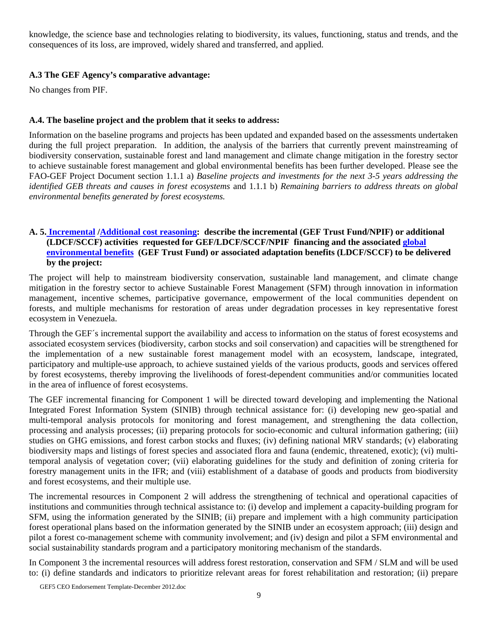knowledge, the science base and technologies relating to biodiversity, its values, functioning, status and trends, and the consequences of its loss, are improved, widely shared and transferred, and applied.

### **A.3 The GEF Agency's comparative advantage:**

No changes from PIF.

## **A.4. The baseline project and the problem that it seeks to address:**

Information on the baseline programs and projects has been updated and expanded based on the assessments undertaken during the full project preparation. In addition, the analysis of the barriers that currently prevent mainstreaming of biodiversity conservation, sustainable forest and land management and climate change mitigation in the forestry sector to achieve sustainable forest management and global environmental benefits has been further developed. Please see the FAO-GEF Project Document section 1.1.1 a) *Baseline projects and investments for the next 3-5 years addressing the identified GEB threats and causes in forest ecosystems* and 1.1.1 b) *Remaining barriers to address threats on global environmental benefits generated by forest ecosystems.* 

## **A. 5. Incremental /Additional cost reasoning: describe the incremental (GEF Trust Fund/NPIF) or additional (LDCF/SCCF) activities requested for GEF/LDCF/SCCF/NPIF financing and the associated global environmental benefits (GEF Trust Fund) or associated adaptation benefits (LDCF/SCCF) to be delivered by the project:**

The project will help to mainstream biodiversity conservation, sustainable land management, and climate change mitigation in the forestry sector to achieve Sustainable Forest Management (SFM) through innovation in information management, incentive schemes, participative governance, empowerment of the local communities dependent on forests, and multiple mechanisms for restoration of areas under degradation processes in key representative forest ecosystem in Venezuela.

Through the GEF´s incremental support the availability and access to information on the status of forest ecosystems and associated ecosystem services (biodiversity, carbon stocks and soil conservation) and capacities will be strengthened for the implementation of a new sustainable forest management model with an ecosystem, landscape, integrated, participatory and multiple-use approach, to achieve sustained yields of the various products, goods and services offered by forest ecosystems, thereby improving the livelihoods of forest-dependent communities and/or communities located in the area of influence of forest ecosystems.

The GEF incremental financing for Component 1 will be directed toward developing and implementing the National Integrated Forest Information System (SINIB) through technical assistance for: (i) developing new geo-spatial and multi-temporal analysis protocols for monitoring and forest management, and strengthening the data collection, processing and analysis processes; (ii) preparing protocols for socio-economic and cultural information gathering; (iii) studies on GHG emissions, and forest carbon stocks and fluxes; (iv) defining national MRV standards; (v) elaborating biodiversity maps and listings of forest species and associated flora and fauna (endemic, threatened, exotic); (vi) multitemporal analysis of vegetation cover; (vii) elaborating guidelines for the study and definition of zoning criteria for forestry management units in the IFR; and (viii) establishment of a database of goods and products from biodiversity and forest ecosystems, and their multiple use.

The incremental resources in Component 2 will address the strengthening of technical and operational capacities of institutions and communities through technical assistance to: (i) develop and implement a capacity-building program for SFM, using the information generated by the SINIB; (ii) prepare and implement with a high community participation forest operational plans based on the information generated by the SINIB under an ecosystem approach; (iii) design and pilot a forest co-management scheme with community involvement; and (iv) design and pilot a SFM environmental and social sustainability standards program and a participatory monitoring mechanism of the standards.

In Component 3 the incremental resources will address forest restoration, conservation and SFM / SLM and will be used to: (i) define standards and indicators to prioritize relevant areas for forest rehabilitation and restoration; (ii) prepare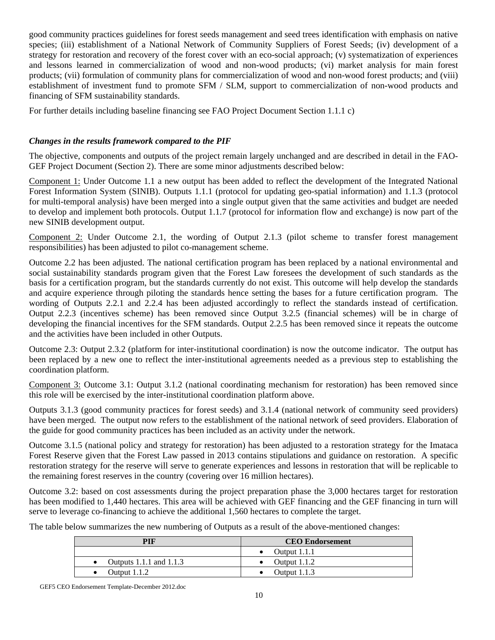good community practices guidelines for forest seeds management and seed trees identification with emphasis on native species; (iii) establishment of a National Network of Community Suppliers of Forest Seeds; (iv) development of a strategy for restoration and recovery of the forest cover with an eco-social approach; (v) systematization of experiences and lessons learned in commercialization of wood and non-wood products; (vi) market analysis for main forest products; (vii) formulation of community plans for commercialization of wood and non-wood forest products; and (viii) establishment of investment fund to promote SFM / SLM, support to commercialization of non-wood products and financing of SFM sustainability standards.

For further details including baseline financing see FAO Project Document Section 1.1.1 c)

# *Changes in the results framework compared to the PIF*

The objective, components and outputs of the project remain largely unchanged and are described in detail in the FAO-GEF Project Document (Section 2). There are some minor adjustments described below:

Component 1: Under Outcome 1.1 a new output has been added to reflect the development of the Integrated National Forest Information System (SINIB). Outputs 1.1.1 (protocol for updating geo-spatial information) and 1.1.3 (protocol for multi-temporal analysis) have been merged into a single output given that the same activities and budget are needed to develop and implement both protocols. Output 1.1.7 (protocol for information flow and exchange) is now part of the new SINIB development output.

Component 2: Under Outcome 2.1, the wording of Output 2.1.3 (pilot scheme to transfer forest management responsibilities) has been adjusted to pilot co-management scheme.

Outcome 2.2 has been adjusted. The national certification program has been replaced by a national environmental and social sustainability standards program given that the Forest Law foresees the development of such standards as the basis for a certification program, but the standards currently do not exist. This outcome will help develop the standards and acquire experience through piloting the standards hence setting the bases for a future certification program. The wording of Outputs 2.2.1 and 2.2.4 has been adjusted accordingly to reflect the standards instead of certification. Output 2.2.3 (incentives scheme) has been removed since Output 3.2.5 (financial schemes) will be in charge of developing the financial incentives for the SFM standards. Output 2.2.5 has been removed since it repeats the outcome and the activities have been included in other Outputs.

Outcome 2.3: Output 2.3.2 (platform for inter-institutional coordination) is now the outcome indicator. The output has been replaced by a new one to reflect the inter-institutional agreements needed as a previous step to establishing the coordination platform.

Component 3: Outcome 3.1: Output 3.1.2 (national coordinating mechanism for restoration) has been removed since this role will be exercised by the inter-institutional coordination platform above.

Outputs 3.1.3 (good community practices for forest seeds) and 3.1.4 (national network of community seed providers) have been merged. The output now refers to the establishment of the national network of seed providers. Elaboration of the guide for good community practices has been included as an activity under the network.

Outcome 3.1.5 (national policy and strategy for restoration) has been adjusted to a restoration strategy for the Imataca Forest Reserve given that the Forest Law passed in 2013 contains stipulations and guidance on restoration. A specific restoration strategy for the reserve will serve to generate experiences and lessons in restoration that will be replicable to the remaining forest reserves in the country (covering over 16 million hectares).

Outcome 3.2: based on cost assessments during the project preparation phase the 3,000 hectares target for restoration has been modified to 1,440 hectares. This area will be achieved with GEF financing and the GEF financing in turn will serve to leverage co-financing to achieve the additional 1,560 hectares to complete the target.

The table below summarizes the new numbering of Outputs as a result of the above-mentioned changes:

| PIF                       | <b>CEO</b> Endorsement |
|---------------------------|------------------------|
|                           | • Output 1.1.1         |
| Outputs 1.1.1 and $1.1.3$ | • Output $1.1.2$       |
| Output $1.1.2$            | Output $1.1.3$         |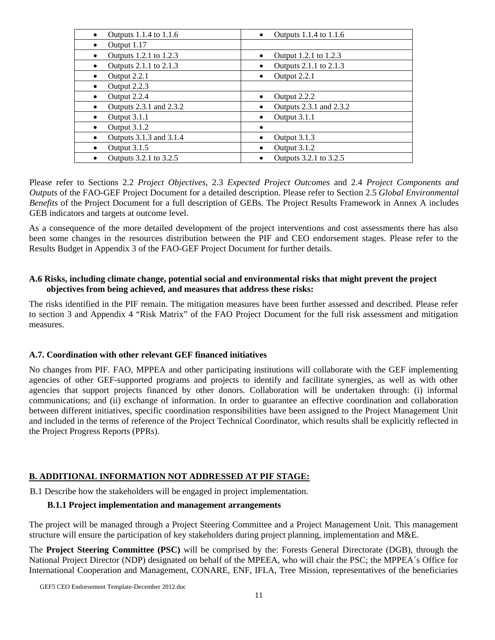| Outputs 1.1.4 to 1.1.6<br>$\bullet$  | Outputs 1.1.4 to 1.1.6<br>$\bullet$ |
|--------------------------------------|-------------------------------------|
| Output 1.17<br>$\bullet$             |                                     |
| Outputs 1.2.1 to 1.2.3<br>$\bullet$  | Output 1.2.1 to 1.2.3<br>$\bullet$  |
| Outputs 2.1.1 to 2.1.3<br>٠          | Outputs 2.1.1 to 2.1.3              |
| Output 2.2.1<br>$\bullet$            | Output 2.2.1                        |
| Output 2.2.3<br>٠                    |                                     |
| Output 2.2.4<br>٠                    | Output 2.2.2                        |
| Outputs 2.3.1 and 2.3.2<br>$\bullet$ | Outputs 2.3.1 and 2.3.2             |
| Output 3.1.1<br>$\bullet$            | Output 3.1.1                        |
| Output 3.1.2<br>٠                    |                                     |
| Outputs 3.1.3 and 3.1.4<br>٠         | Output 3.1.3                        |
| Output 3.1.5<br>٠                    | Output 3.1.2                        |
| Outputs 3.2.1 to 3.2.5               | Outputs 3.2.1 to 3.2.5              |

Please refer to Sections 2.2 *Project Objectives*, 2.3 *Expected Project Outcomes* and 2.4 *Project Components and Outputs* of the FAO-GEF Project Document for a detailed description. Please refer to Section 2.5 *Global Environmental Benefits* of the Project Document for a full description of GEBs. The Project Results Framework in Annex A includes GEB indicators and targets at outcome level.

As a consequence of the more detailed development of the project interventions and cost assessments there has also been some changes in the resources distribution between the PIF and CEO endorsement stages. Please refer to the Results Budget in Appendix 3 of the FAO-GEF Project Document for further details.

#### **A.6 Risks, including climate change, potential social and environmental risks that might prevent the project objectives from being achieved, and measures that address these risks:**

The risks identified in the PIF remain. The mitigation measures have been further assessed and described. Please refer to section 3 and Appendix 4 "Risk Matrix" of the FAO Project Document for the full risk assessment and mitigation measures.

#### **A.7. Coordination with other relevant GEF financed initiatives**

No changes from PIF. FAO, MPPEA and other participating institutions will collaborate with the GEF implementing agencies of other GEF-supported programs and projects to identify and facilitate synergies, as well as with other agencies that support projects financed by other donors. Collaboration will be undertaken through: (i) informal communications; and (ii) exchange of information. In order to guarantee an effective coordination and collaboration between different initiatives, specific coordination responsibilities have been assigned to the Project Management Unit and included in the terms of reference of the Project Technical Coordinator, which results shall be explicitly reflected in the Project Progress Reports (PPRs).

#### **B. ADDITIONAL INFORMATION NOT ADDRESSED AT PIF STAGE:**

B.1 Describe how the stakeholders will be engaged in project implementation.

#### **B.1.1 Project implementation and management arrangements**

The project will be managed through a Project Steering Committee and a Project Management Unit. This management structure will ensure the participation of key stakeholders during project planning, implementation and M&E.

The **Project Steering Committee (PSC)** will be comprised by the: Forests General Directorate (DGB), through the National Project Director (NDP) designated on behalf of the MPEEA, who will chair the PSC; the MPPEA´s Office for International Cooperation and Management, CONARE, ENF, IFLA, Tree Mission, representatives of the beneficiaries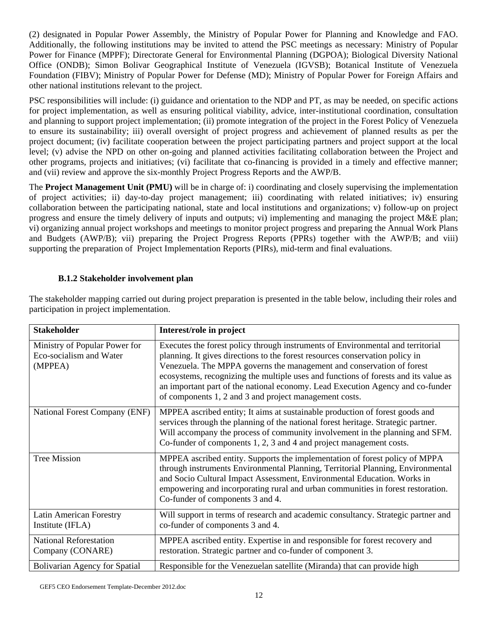(2) designated in Popular Power Assembly, the Ministry of Popular Power for Planning and Knowledge and FAO. Additionally, the following institutions may be invited to attend the PSC meetings as necessary: Ministry of Popular Power for Finance (MPPF); Directorate General for Environmental Planning (DGPOA); Biological Diversity National Office (ONDB); Simon Bolivar Geographical Institute of Venezuela (IGVSB); Botanical Institute of Venezuela Foundation (FIBV); Ministry of Popular Power for Defense (MD); Ministry of Popular Power for Foreign Affairs and other national institutions relevant to the project.

PSC responsibilities will include: (i) guidance and orientation to the NDP and PT, as may be needed, on specific actions for project implementation, as well as ensuring political viability, advice, inter-institutional coordination, consultation and planning to support project implementation; (ii) promote integration of the project in the Forest Policy of Venezuela to ensure its sustainability; iii) overall oversight of project progress and achievement of planned results as per the project document; (iv) facilitate cooperation between the project participating partners and project support at the local level; (v) advise the NPD on other on-going and planned activities facilitating collaboration between the Project and other programs, projects and initiatives; (vi) facilitate that co-financing is provided in a timely and effective manner; and (vii) review and approve the six-monthly Project Progress Reports and the AWP/B.

The **Project Management Unit (PMU)** will be in charge of: i) coordinating and closely supervising the implementation of project activities; ii) day-to-day project management; iii) coordinating with related initiatives; iv) ensuring collaboration between the participating national, state and local institutions and organizations; v) follow-up on project progress and ensure the timely delivery of inputs and outputs; vi) implementing and managing the project M&E plan; vi) organizing annual project workshops and meetings to monitor project progress and preparing the Annual Work Plans and Budgets (AWP/B); vii) preparing the Project Progress Reports (PPRs) together with the AWP/B; and viii) supporting the preparation of Project Implementation Reports (PIRs), mid-term and final evaluations.

## **B.1.2 Stakeholder involvement plan**

| <b>Stakeholder</b>                                                  | Interest/role in project                                                                                                                                                                                                                                                                                                                                                                                                                                                    |
|---------------------------------------------------------------------|-----------------------------------------------------------------------------------------------------------------------------------------------------------------------------------------------------------------------------------------------------------------------------------------------------------------------------------------------------------------------------------------------------------------------------------------------------------------------------|
| Ministry of Popular Power for<br>Eco-socialism and Water<br>(MPPEA) | Executes the forest policy through instruments of Environmental and territorial<br>planning. It gives directions to the forest resources conservation policy in<br>Venezuela. The MPPA governs the management and conservation of forest<br>ecosystems, recognizing the multiple uses and functions of forests and its value as<br>an important part of the national economy. Lead Execution Agency and co-funder<br>of components 1, 2 and 3 and project management costs. |
| National Forest Company (ENF)                                       | MPPEA ascribed entity; It aims at sustainable production of forest goods and<br>services through the planning of the national forest heritage. Strategic partner.<br>Will accompany the process of community involvement in the planning and SFM.<br>Co-funder of components 1, 2, 3 and 4 and project management costs.                                                                                                                                                    |
| <b>Tree Mission</b>                                                 | MPPEA ascribed entity. Supports the implementation of forest policy of MPPA<br>through instruments Environmental Planning, Territorial Planning, Environmental<br>and Socio Cultural Impact Assessment, Environmental Education. Works in<br>empowering and incorporating rural and urban communities in forest restoration.<br>Co-funder of components 3 and 4.                                                                                                            |
| <b>Latin American Forestry</b><br>Institute (IFLA)                  | Will support in terms of research and academic consultancy. Strategic partner and<br>co-funder of components 3 and 4.                                                                                                                                                                                                                                                                                                                                                       |
| <b>National Reforestation</b><br>Company (CONARE)                   | MPPEA ascribed entity. Expertise in and responsible for forest recovery and<br>restoration. Strategic partner and co-funder of component 3.                                                                                                                                                                                                                                                                                                                                 |
| <b>Bolivarian Agency for Spatial</b>                                | Responsible for the Venezuelan satellite (Miranda) that can provide high                                                                                                                                                                                                                                                                                                                                                                                                    |

The stakeholder mapping carried out during project preparation is presented in the table below, including their roles and participation in project implementation.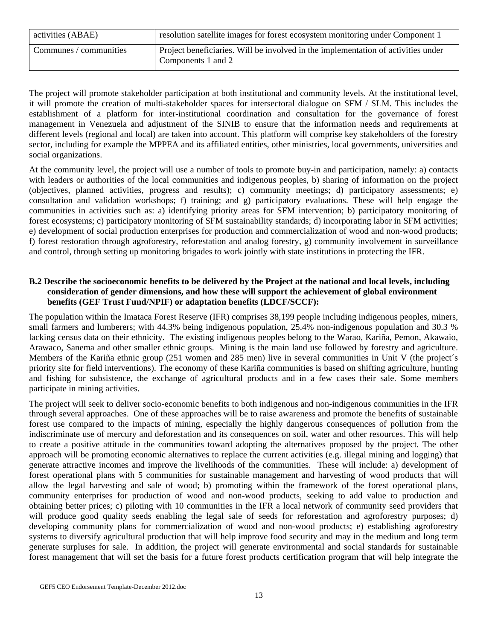| activities (ABAE)      | resolution satellite images for forest ecosystem monitoring under Component 1                           |
|------------------------|---------------------------------------------------------------------------------------------------------|
| Communes / communities | Project beneficiaries. Will be involved in the implementation of activities under<br>Components 1 and 2 |

The project will promote stakeholder participation at both institutional and community levels. At the institutional level, it will promote the creation of multi-stakeholder spaces for intersectoral dialogue on SFM / SLM. This includes the establishment of a platform for inter-institutional coordination and consultation for the governance of forest management in Venezuela and adjustment of the SINIB to ensure that the information needs and requirements at different levels (regional and local) are taken into account. This platform will comprise key stakeholders of the forestry sector, including for example the MPPEA and its affiliated entities, other ministries, local governments, universities and social organizations.

At the community level, the project will use a number of tools to promote buy-in and participation, namely: a) contacts with leaders or authorities of the local communities and indigenous peoples, b) sharing of information on the project (objectives, planned activities, progress and results); c) community meetings; d) participatory assessments; e) consultation and validation workshops; f) training; and g) participatory evaluations. These will help engage the communities in activities such as: a) identifying priority areas for SFM intervention; b) participatory monitoring of forest ecosystems; c) participatory monitoring of SFM sustainability standards; d) incorporating labor in SFM activities; e) development of social production enterprises for production and commercialization of wood and non-wood products; f) forest restoration through agroforestry, reforestation and analog forestry, g) community involvement in surveillance and control, through setting up monitoring brigades to work jointly with state institutions in protecting the IFR.

#### **B.2 Describe the socioeconomic benefits to be delivered by the Project at the national and local levels, including consideration of gender dimensions, and how these will support the achievement of global environment benefits (GEF Trust Fund/NPIF) or adaptation benefits (LDCF/SCCF):**

The population within the Imataca Forest Reserve (IFR) comprises 38,199 people including indigenous peoples, miners, small farmers and lumberers; with 44.3% being indigenous population, 25.4% non-indigenous population and 30.3 % lacking census data on their ethnicity. The existing indigenous peoples belong to the Warao, Kariña, Pemon, Akawaio, Arawaco, Sanema and other smaller ethnic groups. Mining is the main land use followed by forestry and agriculture. Members of the Kariña ethnic group (251 women and 285 men) live in several communities in Unit V (the project´s priority site for field interventions). The economy of these Kariña communities is based on shifting agriculture, hunting and fishing for subsistence, the exchange of agricultural products and in a few cases their sale. Some members participate in mining activities.

The project will seek to deliver socio-economic benefits to both indigenous and non-indigenous communities in the IFR through several approaches. One of these approaches will be to raise awareness and promote the benefits of sustainable forest use compared to the impacts of mining, especially the highly dangerous consequences of pollution from the indiscriminate use of mercury and deforestation and its consequences on soil, water and other resources. This will help to create a positive attitude in the communities toward adopting the alternatives proposed by the project. The other approach will be promoting economic alternatives to replace the current activities (e.g. illegal mining and logging) that generate attractive incomes and improve the livelihoods of the communities. These will include: a) development of forest operational plans with 5 communities for sustainable management and harvesting of wood products that will allow the legal harvesting and sale of wood; b) promoting within the framework of the forest operational plans, community enterprises for production of wood and non-wood products, seeking to add value to production and obtaining better prices; c) piloting with 10 communities in the IFR a local network of community seed providers that will produce good quality seeds enabling the legal sale of seeds for reforestation and agroforestry purposes; d) developing community plans for commercialization of wood and non-wood products; e) establishing agroforestry systems to diversify agricultural production that will help improve food security and may in the medium and long term generate surpluses for sale. In addition, the project will generate environmental and social standards for sustainable forest management that will set the basis for a future forest products certification program that will help integrate the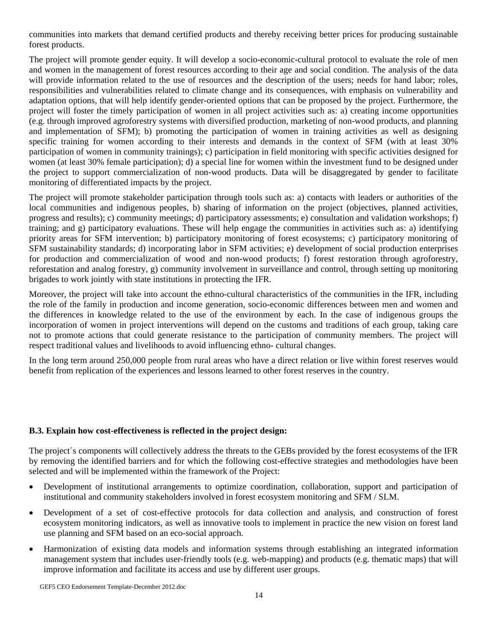communities into markets that demand certified products and thereby receiving better prices for producing sustainable forest products.

The project will promote gender equity. It will develop a socio-economic-cultural protocol to evaluate the role of men and women in the management of forest resources according to their age and social condition. The analysis of the data will provide information related to the use of resources and the description of the users; needs for hand labor; roles, responsibilities and vulnerabilities related to climate change and its consequences, with emphasis on vulnerability and adaptation options, that will help identify gender-oriented options that can be proposed by the project. Furthermore, the project will foster the timely participation of women in all project activities such as: a) creating income opportunities (e.g. through improved agroforestry systems with diversified production, marketing of non-wood products, and planning and implementation of SFM); b) promoting the participation of women in training activities as well as designing specific training for women according to their interests and demands in the context of SFM (with at least 30% participation of women in community trainings); c) participation in field monitoring with specific activities designed for women (at least 30% female participation); d) a special line for women within the investment fund to be designed under the project to support commercialization of non-wood products. Data will be disaggregated by gender to facilitate monitoring of differentiated impacts by the project.

The project will promote stakeholder participation through tools such as: a) contacts with leaders or authorities of the local communities and indigenous peoples, b) sharing of information on the project (objectives, planned activities, progress and results); c) community meetings; d) participatory assessments; e) consultation and validation workshops; f) training; and g) participatory evaluations. These will help engage the communities in activities such as: a) identifying priority areas for SFM intervention; b) participatory monitoring of forest ecosystems; c) participatory monitoring of SFM sustainability standards; d) incorporating labor in SFM activities; e) development of social production enterprises for production and commercialization of wood and non-wood products; f) forest restoration through agroforestry, reforestation and analog forestry, g) community involvement in surveillance and control, through setting up monitoring brigades to work jointly with state institutions in protecting the IFR.

Moreover, the project will take into account the ethno-cultural characteristics of the communities in the IFR, including the role of the family in production and income generation, socio-economic differences between men and women and the differences in knowledge related to the use of the environment by each. In the case of indigenous groups the incorporation of women in project interventions will depend on the customs and traditions of each group, taking care not to promote actions that could generate resistance to the participation of community members. The project will respect traditional values and livelihoods to avoid influencing ethno- cultural changes.

In the long term around 250,000 people from rural areas who have a direct relation or live within forest reserves would benefit from replication of the experiences and lessons learned to other forest reserves in the country.

#### **B.3. Explain how cost-effectiveness is reflected in the project design:**

The project´s components will collectively address the threats to the GEBs provided by the forest ecosystems of the IFR by removing the identified barriers and for which the following cost-effective strategies and methodologies have been selected and will be implemented within the framework of the Project:

- Development of institutional arrangements to optimize coordination, collaboration, support and participation of institutional and community stakeholders involved in forest ecosystem monitoring and SFM / SLM.
- Development of a set of cost-effective protocols for data collection and analysis, and construction of forest ecosystem monitoring indicators, as well as innovative tools to implement in practice the new vision on forest land use planning and SFM based on an eco-social approach.
- Harmonization of existing data models and information systems through establishing an integrated information management system that includes user-friendly tools (e.g. web-mapping) and products (e.g. thematic maps) that will improve information and facilitate its access and use by different user groups.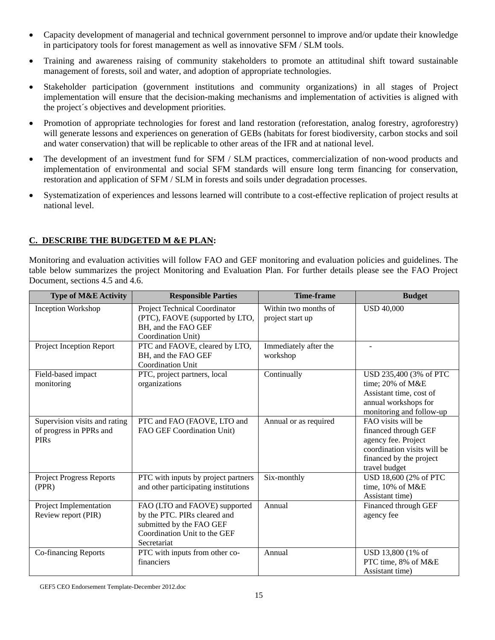- Capacity development of managerial and technical government personnel to improve and/or update their knowledge in participatory tools for forest management as well as innovative SFM / SLM tools.
- Training and awareness raising of community stakeholders to promote an attitudinal shift toward sustainable management of forests, soil and water, and adoption of appropriate technologies.
- Stakeholder participation (government institutions and community organizations) in all stages of Project implementation will ensure that the decision-making mechanisms and implementation of activities is aligned with the project´s objectives and development priorities.
- Promotion of appropriate technologies for forest and land restoration (reforestation, analog forestry, agroforestry) will generate lessons and experiences on generation of GEBs (habitats for forest biodiversity, carbon stocks and soil and water conservation) that will be replicable to other areas of the IFR and at national level.
- The development of an investment fund for SFM / SLM practices, commercialization of non-wood products and implementation of environmental and social SFM standards will ensure long term financing for conservation, restoration and application of SFM / SLM in forests and soils under degradation processes.
- Systematization of experiences and lessons learned will contribute to a cost-effective replication of project results at national level.

# **C. DESCRIBE THE BUDGETED M &E PLAN:**

Monitoring and evaluation activities will follow FAO and GEF monitoring and evaluation policies and guidelines. The table below summarizes the project Monitoring and Evaluation Plan. For further details please see the FAO Project Document, sections 4.5 and 4.6.

| <b>Type of M&amp;E Activity</b>                                         | <b>Responsible Parties</b>                                                                                                               | <b>Time-frame</b>                        | <b>Budget</b>                                                                                                                                |
|-------------------------------------------------------------------------|------------------------------------------------------------------------------------------------------------------------------------------|------------------------------------------|----------------------------------------------------------------------------------------------------------------------------------------------|
| Inception Workshop                                                      | Project Technical Coordinator<br>(PTC), FAOVE (supported by LTO,<br>BH, and the FAO GEF<br>Coordination Unit)                            | Within two months of<br>project start up | <b>USD 40,000</b>                                                                                                                            |
| Project Inception Report                                                | PTC and FAOVE, cleared by LTO,<br>BH, and the FAO GEF<br><b>Coordination Unit</b>                                                        | Immediately after the<br>workshop        |                                                                                                                                              |
| Field-based impact<br>monitoring                                        | PTC, project partners, local<br>organizations                                                                                            | Continually                              | USD 235,400 (3% of PTC<br>time; 20% of M&E<br>Assistant time, cost of<br>annual workshops for<br>monitoring and follow-up                    |
| Supervision visits and rating<br>of progress in PPRs and<br><b>PIRs</b> | PTC and FAO (FAOVE, LTO and<br>FAO GEF Coordination Unit)                                                                                | Annual or as required                    | FAO visits will be<br>financed through GEF<br>agency fee. Project<br>coordination visits will be<br>financed by the project<br>travel budget |
| <b>Project Progress Reports</b><br>(PPR)                                | PTC with inputs by project partners<br>and other participating institutions                                                              | Six-monthly                              | USD 18,600 (2% of PTC<br>time, 10% of M&E<br>Assistant time)                                                                                 |
| Project Implementation<br>Review report (PIR)                           | FAO (LTO and FAOVE) supported<br>by the PTC. PIRs cleared and<br>submitted by the FAO GEF<br>Coordination Unit to the GEF<br>Secretariat | Annual                                   | Financed through GEF<br>agency fee                                                                                                           |
| Co-financing Reports                                                    | PTC with inputs from other co-<br>financiers                                                                                             | Annual                                   | USD 13,800 (1% of<br>PTC time, 8% of M&E<br>Assistant time)                                                                                  |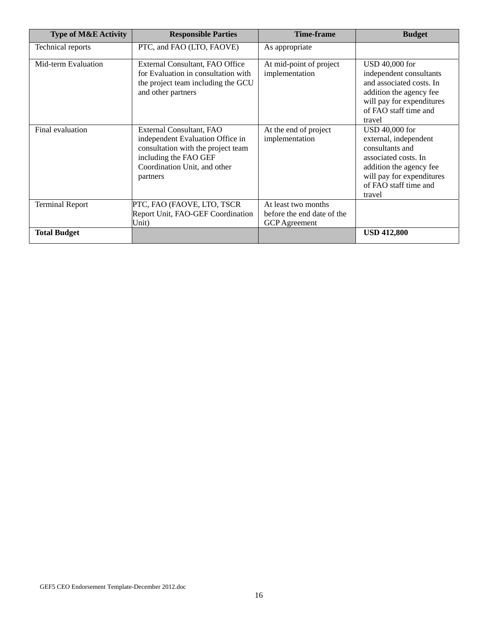| <b>Type of M&amp;E Activity</b> | <b>Responsible Parties</b>                                                                                                                                              | <b>Time-frame</b>                                                         | <b>Budget</b>                                                                                                                                                                 |
|---------------------------------|-------------------------------------------------------------------------------------------------------------------------------------------------------------------------|---------------------------------------------------------------------------|-------------------------------------------------------------------------------------------------------------------------------------------------------------------------------|
| Technical reports               | PTC, and FAO (LTO, FAOVE)                                                                                                                                               |                                                                           |                                                                                                                                                                               |
| Mid-term Evaluation             | External Consultant, FAO Office<br>for Evaluation in consultation with<br>the project team including the GCU<br>and other partners                                      | At mid-point of project<br>implementation                                 | USD 40,000 for<br>independent consultants<br>and associated costs. In<br>addition the agency fee<br>will pay for expenditures<br>of FAO staff time and<br>travel              |
| Final evaluation                | External Consultant, FAO<br>independent Evaluation Office in<br>consultation with the project team<br>including the FAO GEF<br>Coordination Unit, and other<br>partners | At the end of project<br>implementation                                   | USD 40,000 for<br>external, independent<br>consultants and<br>associated costs. In<br>addition the agency fee<br>will pay for expenditures<br>of FAO staff time and<br>travel |
| <b>Terminal Report</b>          | PTC, FAO (FAOVE, LTO, TSCR)<br>Report Unit, FAO-GEF Coordination<br>Unit)                                                                                               | At least two months<br>before the end date of the<br><b>GCP</b> Agreement |                                                                                                                                                                               |
| <b>Total Budget</b>             |                                                                                                                                                                         |                                                                           | <b>USD 412,800</b>                                                                                                                                                            |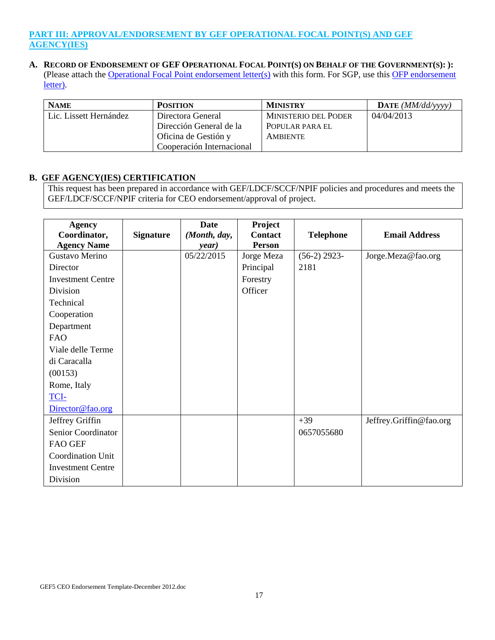## **PART III: APPROVAL/ENDORSEMENT BY GEF OPERATIONAL FOCAL POINT(S) AND GEF AGENCY(IES)**

#### **A. RECORD OF ENDORSEMENT OF GEF OPERATIONAL FOCAL POINT(S) ON BEHALF OF THE GOVERNMENT(S): ):** (Please attach the Operational Focal Point endorsement letter(s) with this form. For SGP, use this OFP endorsement letter).

| <b>NAME</b>            | <b>POSITION</b>           | <b>MINISTRY</b>             | DATE $(MM/dd/vvvv)$ |
|------------------------|---------------------------|-----------------------------|---------------------|
| Lic. Lissett Hernández | Directora General         | <b>MINISTERIO DEL PODER</b> | 04/04/2013          |
|                        | Dirección General de la   | POPULAR PARA EL             |                     |
|                        | Oficina de Gestión y      | <b>AMBIENTE</b>             |                     |
|                        | Cooperación Internacional |                             |                     |

#### **B. GEF AGENCY(IES) CERTIFICATION**

This request has been prepared in accordance with GEF/LDCF/SCCF/NPIF policies and procedures and meets the GEF/LDCF/SCCF/NPIF criteria for CEO endorsement/approval of project.

| <b>Agency</b>            |                  | <b>Date</b>  | Project        |                  |                         |
|--------------------------|------------------|--------------|----------------|------------------|-------------------------|
| Coordinator,             | <b>Signature</b> | (Month, day, | <b>Contact</b> | <b>Telephone</b> | <b>Email Address</b>    |
| <b>Agency Name</b>       |                  | year)        | <b>Person</b>  |                  |                         |
| Gustavo Merino           |                  | 05/22/2015   | Jorge Meza     | $(56-2)$ 2923-   | Jorge.Meza@fao.org      |
| Director                 |                  |              | Principal      | 2181             |                         |
| <b>Investment Centre</b> |                  |              | Forestry       |                  |                         |
| Division                 |                  |              | Officer        |                  |                         |
| Technical                |                  |              |                |                  |                         |
| Cooperation              |                  |              |                |                  |                         |
| Department               |                  |              |                |                  |                         |
| <b>FAO</b>               |                  |              |                |                  |                         |
| Viale delle Terme        |                  |              |                |                  |                         |
| di Caracalla             |                  |              |                |                  |                         |
| (00153)                  |                  |              |                |                  |                         |
| Rome, Italy              |                  |              |                |                  |                         |
| <b>TCI-</b>              |                  |              |                |                  |                         |
| Director@fao.org         |                  |              |                |                  |                         |
| Jeffrey Griffin          |                  |              |                | $+39$            | Jeffrey.Griffin@fao.org |
| Senior Coordinator       |                  |              |                | 0657055680       |                         |
| <b>FAO GEF</b>           |                  |              |                |                  |                         |
| Coordination Unit        |                  |              |                |                  |                         |
| <b>Investment Centre</b> |                  |              |                |                  |                         |
| Division                 |                  |              |                |                  |                         |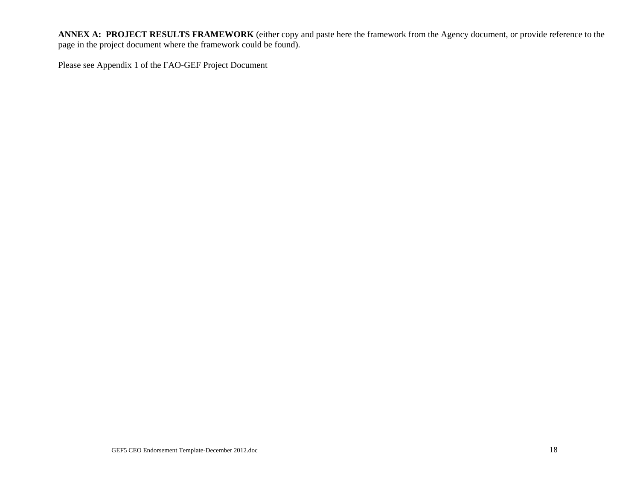**ANNEX A: PROJECT RESULTS FRAMEWORK** (either copy and paste here the framework from the Agency document, or provide reference to the page in the project document where the framework could be found).

Please see Appendix 1 of the FAO-GEF Project Document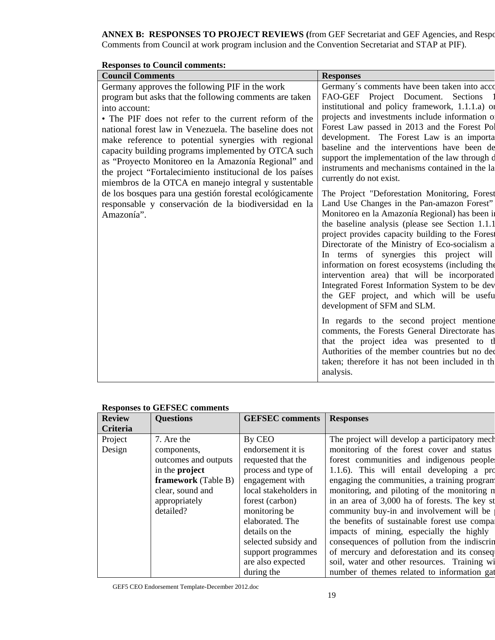# **ANNEX B: RESPONSES TO PROJECT REVIEWS (**from GEF Secretariat and GEF Agencies, and Respo Comments from Council at work program inclusion and the Convention Secretariat and STAP at PIF).

| кемроньем со Социси сонниения.                                                                                                                                                                                                                                                                                                                                                                                                                                                                                                                                                                                                                                          |                                                                                                                                                                                                                                                                                                                                                                                                                                                                                                                                                                                                                                                                                                                                                                                                                                                                                                                                                                                                                                                                                                                                                                                                                                                                                                                           |
|-------------------------------------------------------------------------------------------------------------------------------------------------------------------------------------------------------------------------------------------------------------------------------------------------------------------------------------------------------------------------------------------------------------------------------------------------------------------------------------------------------------------------------------------------------------------------------------------------------------------------------------------------------------------------|---------------------------------------------------------------------------------------------------------------------------------------------------------------------------------------------------------------------------------------------------------------------------------------------------------------------------------------------------------------------------------------------------------------------------------------------------------------------------------------------------------------------------------------------------------------------------------------------------------------------------------------------------------------------------------------------------------------------------------------------------------------------------------------------------------------------------------------------------------------------------------------------------------------------------------------------------------------------------------------------------------------------------------------------------------------------------------------------------------------------------------------------------------------------------------------------------------------------------------------------------------------------------------------------------------------------------|
| <b>Council Comments</b>                                                                                                                                                                                                                                                                                                                                                                                                                                                                                                                                                                                                                                                 | <b>Responses</b>                                                                                                                                                                                                                                                                                                                                                                                                                                                                                                                                                                                                                                                                                                                                                                                                                                                                                                                                                                                                                                                                                                                                                                                                                                                                                                          |
| Germany approves the following PIF in the work<br>program but asks that the following comments are taken<br>into account:<br>• The PIF does not refer to the current reform of the<br>national forest law in Venezuela. The baseline does not<br>make reference to potential synergies with regional<br>capacity building programs implemented by OTCA such<br>as "Proyecto Monitoreo en la Amazonía Regional" and<br>the project "Fortalecimiento institucional de los países<br>miembros de la OTCA en manejo integral y sustentable<br>de los bosques para una gestión forestal ecológicamente<br>responsable y conservación de la biodiversidad en la<br>Amazonía". | Germany's comments have been taken into acco<br>FAO-GEF Project Document. Sections<br>institutional and policy framework, 1.1.1.a) or<br>projects and investments include information o<br>Forest Law passed in 2013 and the Forest Pol<br>development. The Forest Law is an importa<br>baseline and the interventions have been de<br>support the implementation of the law through d<br>instruments and mechanisms contained in the la<br>currently do not exist.<br>The Project "Deforestation Monitoring, Forest<br>Land Use Changes in the Pan-amazon Forest"<br>Monitoreo en la Amazonía Regional) has been in<br>the baseline analysis (please see Section 1.1.1)<br>project provides capacity building to the Forest<br>Directorate of the Ministry of Eco-socialism a<br>In terms of synergies this project will<br>information on forest ecosystems (including the<br>intervention area) that will be incorporated<br>Integrated Forest Information System to be dev<br>the GEF project, and which will be useful<br>development of SFM and SLM.<br>In regards to the second project mentione<br>comments, the Forests General Directorate has<br>that the project idea was presented to the<br>Authorities of the member countries but no dec<br>taken; therefore it has not been included in the<br>analysis. |

# **Responses to Council comments:**

|                 | <b>Responses to GEFSEC comments</b> |                        |                                               |  |  |  |  |
|-----------------|-------------------------------------|------------------------|-----------------------------------------------|--|--|--|--|
| <b>Review</b>   | <b>Questions</b>                    | <b>GEFSEC</b> comments | <b>Responses</b>                              |  |  |  |  |
| <b>Criteria</b> |                                     |                        |                                               |  |  |  |  |
| Project         | 7. Are the                          | By CEO                 | The project will develop a participatory mech |  |  |  |  |
| Design          | components,                         | endorsement it is      | monitoring of the forest cover and status     |  |  |  |  |
|                 | outcomes and outputs                | requested that the     | forest communities and indigenous people      |  |  |  |  |
|                 | in the <b>project</b>               | process and type of    | 1.1.6). This will entail developing a pro     |  |  |  |  |
|                 | framework (Table B)                 | engagement with        | engaging the communities, a training program  |  |  |  |  |
|                 | clear, sound and                    | local stakeholders in  | monitoring, and piloting of the monitoring n  |  |  |  |  |
|                 | appropriately                       | forest (carbon)        | in an area of 3,000 ha of forests. The key st |  |  |  |  |
|                 | detailed?                           | monitoring be          | community buy-in and involvement will be      |  |  |  |  |
|                 |                                     | elaborated. The        | the benefits of sustainable forest use compar |  |  |  |  |
|                 |                                     | details on the         | impacts of mining, especially the highly      |  |  |  |  |
|                 |                                     | selected subsidy and   | consequences of pollution from the indiscrin  |  |  |  |  |
|                 |                                     | support programmes     | of mercury and deforestation and its conseq   |  |  |  |  |
|                 |                                     | are also expected      | soil, water and other resources. Training wi  |  |  |  |  |
|                 |                                     | during the             | number of themes related to information gat   |  |  |  |  |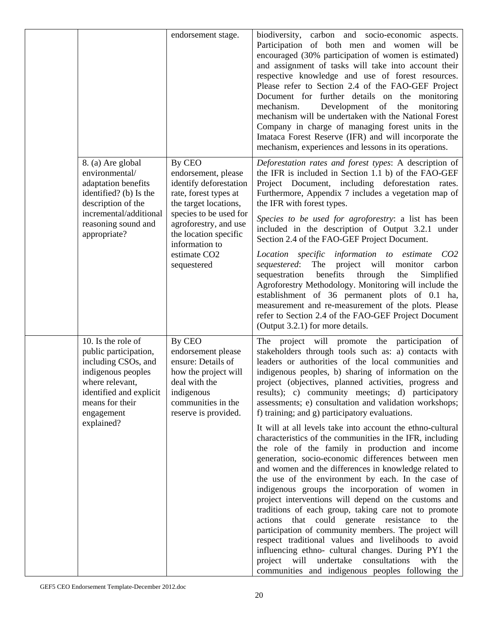|  |                                                                                                                                                                                       | endorsement stage.                                                                                                                                                                                                                                 | biodiversity, carbon and socio-economic aspects.<br>Participation of both men and women will be<br>encouraged (30% participation of women is estimated)<br>and assignment of tasks will take into account their<br>respective knowledge and use of forest resources.<br>Please refer to Section 2.4 of the FAO-GEF Project<br>Document for further details on the monitoring<br>Development of the<br>mechanism.<br>monitoring<br>mechanism will be undertaken with the National Forest<br>Company in charge of managing forest units in the<br>Imataca Forest Reserve (IFR) and will incorporate the<br>mechanism, experiences and lessons in its operations.                                                                                                                                                                                                                                                                                                                                                                                                                                                                                                                                                                                                                                              |
|--|---------------------------------------------------------------------------------------------------------------------------------------------------------------------------------------|----------------------------------------------------------------------------------------------------------------------------------------------------------------------------------------------------------------------------------------------------|-------------------------------------------------------------------------------------------------------------------------------------------------------------------------------------------------------------------------------------------------------------------------------------------------------------------------------------------------------------------------------------------------------------------------------------------------------------------------------------------------------------------------------------------------------------------------------------------------------------------------------------------------------------------------------------------------------------------------------------------------------------------------------------------------------------------------------------------------------------------------------------------------------------------------------------------------------------------------------------------------------------------------------------------------------------------------------------------------------------------------------------------------------------------------------------------------------------------------------------------------------------------------------------------------------------|
|  | 8. (a) Are global<br>environmental/<br>adaptation benefits<br>identified? (b) Is the<br>description of the<br>incremental/additional<br>reasoning sound and<br>appropriate?           | By CEO<br>endorsement, please<br>identify deforestation<br>rate, forest types at<br>the target locations,<br>species to be used for<br>agroforestry, and use<br>the location specific<br>information to<br>estimate CO <sub>2</sub><br>sequestered | Deforestation rates and forest types: A description of<br>the IFR is included in Section 1.1 b) of the FAO-GEF<br>Project Document, including deforestation rates.<br>Furthermore, Appendix 7 includes a vegetation map of<br>the IFR with forest types.<br>Species to be used for agroforestry: a list has been<br>included in the description of Output 3.2.1 under<br>Section 2.4 of the FAO-GEF Project Document.<br>Location specific information to estimate<br>CO2<br>sequestered: The<br>project will monitor<br>carbon<br>benefits<br>sequestration<br>through<br>the<br>Simplified<br>Agroforestry Methodology. Monitoring will include the<br>establishment of 36 permanent plots of 0.1 ha,<br>measurement and re-measurement of the plots. Please<br>refer to Section 2.4 of the FAO-GEF Project Document<br>(Output 3.2.1) for more details.                                                                                                                                                                                                                                                                                                                                                                                                                                                  |
|  | 10. Is the role of<br>public participation,<br>including CSOs, and<br>indigenous peoples<br>where relevant,<br>identified and explicit<br>means for their<br>engagement<br>explained? | By CEO<br>endorsement please<br>ensure: Details of<br>how the project will<br>deal with the<br>indigenous<br>communities in the<br>reserve is provided.                                                                                            | The project will promote the participation of<br>stakeholders through tools such as: a) contacts with<br>leaders or authorities of the local communities and<br>indigenous peoples, b) sharing of information on the<br>project (objectives, planned activities, progress and<br>results); c) community meetings; d) participatory<br>assessments; e) consultation and validation workshops;<br>f) training; and g) participatory evaluations.<br>It will at all levels take into account the ethno-cultural<br>characteristics of the communities in the IFR, including<br>the role of the family in production and income<br>generation, socio-economic differences between men<br>and women and the differences in knowledge related to<br>the use of the environment by each. In the case of<br>indigenous groups the incorporation of women in<br>project interventions will depend on the customs and<br>traditions of each group, taking care not to promote<br>that could generate resistance to<br>actions<br>the<br>participation of community members. The project will<br>respect traditional values and livelihoods to avoid<br>influencing ethno- cultural changes. During PY1 the<br>undertake consultations with<br>project will<br>the<br>communities and indigenous peoples following the |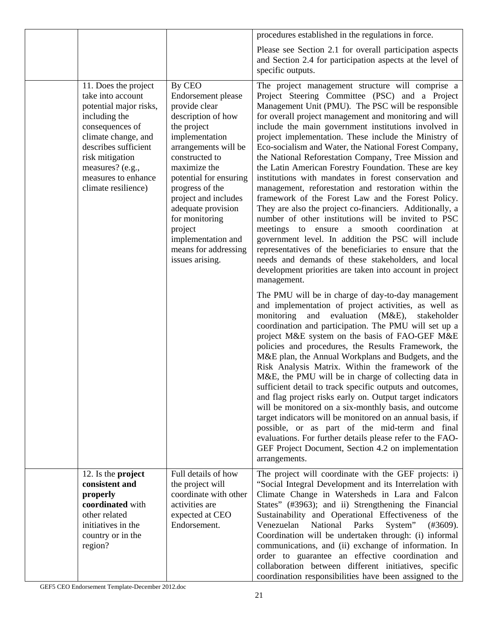|                                                                                                                                                                                                                                             |                                                                                                                                                                                                                                                                                                                                                                | procedures established in the regulations in force.                                                                                                                                                                                                                                                                                                                                                                                                                                                                                                                                                                                                                                                                                                                                                                                                                                                                                                                                                                                                                                                      |
|---------------------------------------------------------------------------------------------------------------------------------------------------------------------------------------------------------------------------------------------|----------------------------------------------------------------------------------------------------------------------------------------------------------------------------------------------------------------------------------------------------------------------------------------------------------------------------------------------------------------|----------------------------------------------------------------------------------------------------------------------------------------------------------------------------------------------------------------------------------------------------------------------------------------------------------------------------------------------------------------------------------------------------------------------------------------------------------------------------------------------------------------------------------------------------------------------------------------------------------------------------------------------------------------------------------------------------------------------------------------------------------------------------------------------------------------------------------------------------------------------------------------------------------------------------------------------------------------------------------------------------------------------------------------------------------------------------------------------------------|
|                                                                                                                                                                                                                                             |                                                                                                                                                                                                                                                                                                                                                                | Please see Section 2.1 for overall participation aspects<br>and Section 2.4 for participation aspects at the level of<br>specific outputs.                                                                                                                                                                                                                                                                                                                                                                                                                                                                                                                                                                                                                                                                                                                                                                                                                                                                                                                                                               |
| 11. Does the project<br>take into account<br>potential major risks,<br>including the<br>consequences of<br>climate change, and<br>describes sufficient<br>risk mitigation<br>measures? (e.g.,<br>measures to enhance<br>climate resilience) | By CEO<br><b>Endorsement</b> please<br>provide clear<br>description of how<br>the project<br>implementation<br>arrangements will be<br>constructed to<br>maximize the<br>potential for ensuring<br>progress of the<br>project and includes<br>adequate provision<br>for monitoring<br>project<br>implementation and<br>means for addressing<br>issues arising. | The project management structure will comprise a<br>Project Steering Committee (PSC) and a Project<br>Management Unit (PMU). The PSC will be responsible<br>for overall project management and monitoring and will<br>include the main government institutions involved in<br>project implementation. These include the Ministry of<br>Eco-socialism and Water, the National Forest Company,<br>the National Reforestation Company, Tree Mission and<br>the Latin American Forestry Foundation. These are key<br>institutions with mandates in forest conservation and<br>management, reforestation and restoration within the<br>framework of the Forest Law and the Forest Policy.<br>They are also the project co-financiers. Additionally, a<br>number of other institutions will be invited to PSC<br>meetings to ensure a smooth coordination at<br>government level. In addition the PSC will include<br>representatives of the beneficiaries to ensure that the<br>needs and demands of these stakeholders, and local<br>development priorities are taken into account in project<br>management. |
|                                                                                                                                                                                                                                             |                                                                                                                                                                                                                                                                                                                                                                | The PMU will be in charge of day-to-day management<br>and implementation of project activities, as well as<br>evaluation<br>monitoring<br>and<br>$(M&E)$ ,<br>stakeholder<br>coordination and participation. The PMU will set up a<br>project M&E system on the basis of FAO-GEF M&E<br>policies and procedures, the Results Framework, the<br>M&E plan, the Annual Workplans and Budgets, and the<br>Risk Analysis Matrix. Within the framework of the<br>M&E, the PMU will be in charge of collecting data in<br>sufficient detail to track specific outputs and outcomes,<br>and flag project risks early on. Output target indicators<br>will be monitored on a six-monthly basis, and outcome<br>target indicators will be monitored on an annual basis, if<br>possible, or as part of the mid-term and final<br>evaluations. For further details please refer to the FAO-<br>GEF Project Document, Section 4.2 on implementation<br>arrangements.                                                                                                                                                  |
| 12. Is the <b>project</b><br>consistent and<br>properly<br>coordinated with<br>other related<br>initiatives in the<br>country or in the<br>region?                                                                                          | Full details of how<br>the project will<br>coordinate with other<br>activities are<br>expected at CEO<br>Endorsement.                                                                                                                                                                                                                                          | The project will coordinate with the GEF projects: i)<br>"Social Integral Development and its Interrelation with<br>Climate Change in Watersheds in Lara and Falcon<br>States" (#3963); and ii) Strengthening the Financial<br>Sustainability and Operational Effectiveness of the<br>Venezuelan<br>National<br>Parks<br>System"<br>$(\#3609).$<br>Coordination will be undertaken through: (i) informal<br>communications, and (ii) exchange of information. In<br>order to guarantee an effective coordination and<br>collaboration between different initiatives, specific<br>coordination responsibilities have been assigned to the                                                                                                                                                                                                                                                                                                                                                                                                                                                                 |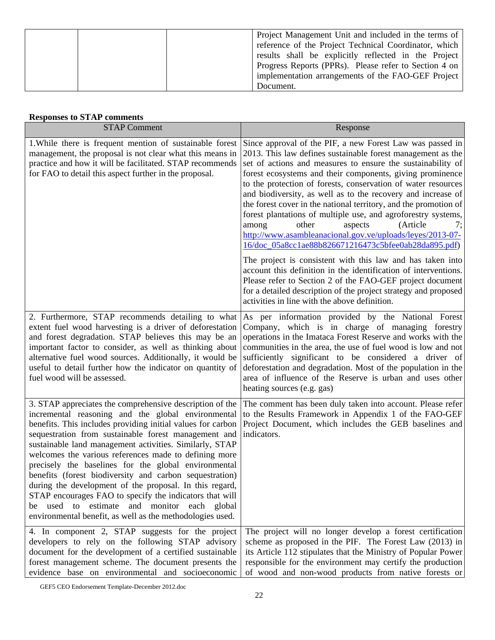|  | Project Management Unit and included in the terms of  |
|--|-------------------------------------------------------|
|  | reference of the Project Technical Coordinator, which |
|  | results shall be explicitly reflected in the Project  |
|  | Progress Reports (PPRs). Please refer to Section 4 on |
|  | implementation arrangements of the FAO-GEF Project    |
|  | Document.                                             |

# **Responses to STAP comments**

| <b>STAP Comment</b>                                                                                                                                                                                                                                                                                                                                                                                                                                                                                                                                                                                                                                                                                                     | Response                                                                                                                                                                                                                                                                                                                                                                                                                                                                                                                                                                                                                                                                                       |  |
|-------------------------------------------------------------------------------------------------------------------------------------------------------------------------------------------------------------------------------------------------------------------------------------------------------------------------------------------------------------------------------------------------------------------------------------------------------------------------------------------------------------------------------------------------------------------------------------------------------------------------------------------------------------------------------------------------------------------------|------------------------------------------------------------------------------------------------------------------------------------------------------------------------------------------------------------------------------------------------------------------------------------------------------------------------------------------------------------------------------------------------------------------------------------------------------------------------------------------------------------------------------------------------------------------------------------------------------------------------------------------------------------------------------------------------|--|
| 1. While there is frequent mention of sustainable forest<br>management, the proposal is not clear what this means in<br>practice and how it will be facilitated. STAP recommends<br>for FAO to detail this aspect further in the proposal.                                                                                                                                                                                                                                                                                                                                                                                                                                                                              | Since approval of the PIF, a new Forest Law was passed in<br>2013. This law defines sustainable forest management as the<br>set of actions and measures to ensure the sustainability of<br>forest ecosystems and their components, giving prominence<br>to the protection of forests, conservation of water resources<br>and biodiversity, as well as to the recovery and increase of<br>the forest cover in the national territory, and the promotion of<br>forest plantations of multiple use, and agroforestry systems,<br>(Article<br>other<br>aspects<br>among<br>7;<br>http://www.asambleanacional.gov.ve/uploads/leyes/2013-07-<br>16/doc_05a8cc1ae88b826671216473c5bfee0ab28da895.pdf) |  |
|                                                                                                                                                                                                                                                                                                                                                                                                                                                                                                                                                                                                                                                                                                                         | The project is consistent with this law and has taken into<br>account this definition in the identification of interventions.<br>Please refer to Section 2 of the FAO-GEF project document<br>for a detailed description of the project strategy and proposed<br>activities in line with the above definition.                                                                                                                                                                                                                                                                                                                                                                                 |  |
| 2. Furthermore, STAP recommends detailing to what<br>extent fuel wood harvesting is a driver of deforestation<br>and forest degradation. STAP believes this may be an<br>important factor to consider, as well as thinking about<br>alternative fuel wood sources. Additionally, it would be<br>useful to detail further how the indicator on quantity of<br>fuel wood will be assessed.                                                                                                                                                                                                                                                                                                                                | As per information provided by the National Forest<br>Company, which is in charge of managing forestry<br>operations in the Imataca Forest Reserve and works with the<br>communities in the area, the use of fuel wood is low and not<br>sufficiently significant to be considered a driver of<br>deforestation and degradation. Most of the population in the<br>area of influence of the Reserve is urban and uses other<br>heating sources (e.g. gas)                                                                                                                                                                                                                                       |  |
| 3. STAP appreciates the comprehensive description of the<br>incremental reasoning and the global environmental<br>benefits. This includes providing initial values for carbon<br>sequestration from sustainable forest management and<br>sustainable land management activities. Similarly, STAP<br>welcomes the various references made to defining more<br>precisely the baselines for the global environmental<br>benefits (forest biodiversity and carbon sequestration)<br>during the development of the proposal. In this regard,<br>STAP encourages FAO to specify the indicators that will<br>used to estimate<br>and monitor each<br>global<br>be<br>environmental benefit, as well as the methodologies used. | The comment has been duly taken into account. Please refer<br>to the Results Framework in Appendix 1 of the FAO-GEF<br>Project Document, which includes the GEB baselines and<br>indicators.                                                                                                                                                                                                                                                                                                                                                                                                                                                                                                   |  |
| 4. In component 2, STAP suggests for the project<br>developers to rely on the following STAP advisory<br>document for the development of a certified sustainable<br>forest management scheme. The document presents the<br>evidence base on environmental and socioeconomic                                                                                                                                                                                                                                                                                                                                                                                                                                             | The project will no longer develop a forest certification<br>scheme as proposed in the PIF. The Forest Law (2013) in<br>its Article 112 stipulates that the Ministry of Popular Power<br>responsible for the environment may certify the production<br>of wood and non-wood products from native forests or                                                                                                                                                                                                                                                                                                                                                                                    |  |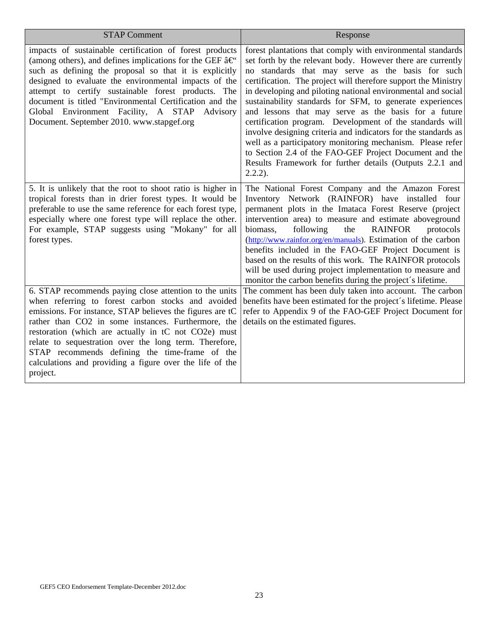| <b>STAP Comment</b>                                                                                                                                                                                                                                                                                                                                                                                                                                                          | Response                                                                                                                                                                                                                                                                                                                                                                                                                                                                                                                                                                                                                                                                                                                                                               |  |  |
|------------------------------------------------------------------------------------------------------------------------------------------------------------------------------------------------------------------------------------------------------------------------------------------------------------------------------------------------------------------------------------------------------------------------------------------------------------------------------|------------------------------------------------------------------------------------------------------------------------------------------------------------------------------------------------------------------------------------------------------------------------------------------------------------------------------------------------------------------------------------------------------------------------------------------------------------------------------------------------------------------------------------------------------------------------------------------------------------------------------------------------------------------------------------------------------------------------------------------------------------------------|--|--|
| impacts of sustainable certification of forest products<br>(among others), and defines implications for the GEF $\hat{a} \in \hat{C}$<br>such as defining the proposal so that it is explicitly<br>designed to evaluate the environmental impacts of the<br>attempt to certify sustainable forest products. The<br>document is titled "Environmental Certification and the<br>Global Environment Facility, A STAP<br>Advisory<br>Document. September 2010. www.stapgef.org   | forest plantations that comply with environmental standards<br>set forth by the relevant body. However there are currently<br>no standards that may serve as the basis for such<br>certification. The project will therefore support the Ministry<br>in developing and piloting national environmental and social<br>sustainability standards for SFM, to generate experiences<br>and lessons that may serve as the basis for a future<br>certification program. Development of the standards will<br>involve designing criteria and indicators for the standards as<br>well as a participatory monitoring mechanism. Please refer<br>to Section 2.4 of the FAO-GEF Project Document and the<br>Results Framework for further details (Outputs 2.2.1 and<br>$2.2.2$ ). |  |  |
| 5. It is unlikely that the root to shoot ratio is higher in<br>tropical forests than in drier forest types. It would be<br>preferable to use the same reference for each forest type,<br>especially where one forest type will replace the other.<br>For example, STAP suggests using "Mokany" for all<br>forest types.                                                                                                                                                      | The National Forest Company and the Amazon Forest<br>Inventory Network (RAINFOR) have installed four<br>permanent plots in the Imataca Forest Reserve (project<br>intervention area) to measure and estimate aboveground<br>the<br>biomass,<br>following<br><b>RAINFOR</b><br>protocols<br>(http://www.rainfor.org/en/manuals). Estimation of the carbon<br>benefits included in the FAO-GEF Project Document is<br>based on the results of this work. The RAINFOR protocols<br>will be used during project implementation to measure and<br>monitor the carbon benefits during the project's lifetime.                                                                                                                                                                |  |  |
| 6. STAP recommends paying close attention to the units<br>when referring to forest carbon stocks and avoided<br>emissions. For instance, STAP believes the figures are tC<br>rather than CO2 in some instances. Furthermore, the<br>restoration (which are actually in tC not CO2e) must<br>relate to sequestration over the long term. Therefore,<br>STAP recommends defining the time-frame of the<br>calculations and providing a figure over the life of the<br>project. | The comment has been duly taken into account. The carbon<br>benefits have been estimated for the project's lifetime. Please<br>refer to Appendix 9 of the FAO-GEF Project Document for<br>details on the estimated figures.                                                                                                                                                                                                                                                                                                                                                                                                                                                                                                                                            |  |  |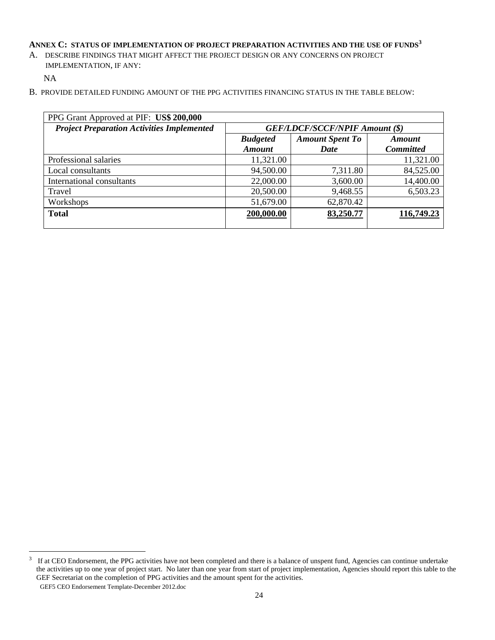### ANNEX C: STATUS OF IMPLEMENTATION OF PROJECT PREPARATION ACTIVITIES AND THE USE OF FUNDS<sup>3</sup>

A. DESCRIBE FINDINGS THAT MIGHT AFFECT THE PROJECT DESIGN OR ANY CONCERNS ON PROJECT IMPLEMENTATION, IF ANY:

NA

B. PROVIDE DETAILED FUNDING AMOUNT OF THE PPG ACTIVITIES FINANCING STATUS IN THE TABLE BELOW:

| PPG Grant Approved at PIF: US\$ 200,000 |                        |                  |  |  |
|-----------------------------------------|------------------------|------------------|--|--|
| <b>GEF/LDCF/SCCF/NPIF Amount (\$)</b>   |                        |                  |  |  |
| <b>Budgeted</b>                         | <b>Amount Spent To</b> | Amount           |  |  |
| <b>Amount</b>                           | Date                   | <b>Committed</b> |  |  |
| 11,321.00                               |                        | 11,321.00        |  |  |
| 94,500.00                               | 7,311.80               | 84,525.00        |  |  |
| 22,000.00                               | 3,600.00               | 14,400.00        |  |  |
| 20,500.00                               | 9,468.55               | 6,503.23         |  |  |
| 51,679.00                               | 62,870.42              |                  |  |  |
| 200,000.00                              | 83,250.77              | 116,749.23       |  |  |
|                                         |                        |                  |  |  |

GEF5 CEO Endorsement Template-December 2012.doc  $3\text{ If at CEO Endorsement, the PPG activities have not been completed and there is a balance of unspent fund, Agencies can continue undertake.}$ the activities up to one year of project start. No later than one year from start of project implementation, Agencies should report this table to the GEF Secretariat on the completion of PPG activities and the amount spent for the activities.